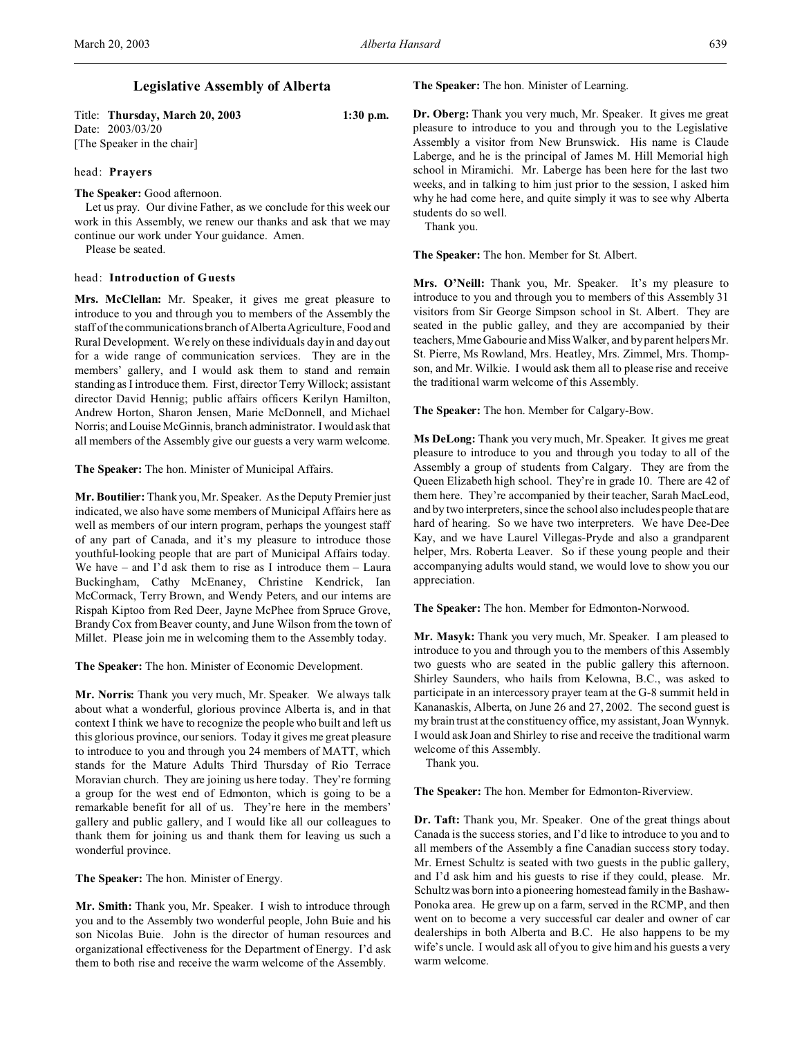Title: **Thursday, March 20, 2003 1:30 p.m.** Date: 2003/03/20 [The Speaker in the chair]

### head: **Prayers**

**The Speaker:** Good afternoon.

Let us pray. Our divine Father, as we conclude for this week our work in this Assembly, we renew our thanks and ask that we may continue our work under Your guidance. Amen.

Please be seated.

## head: **Introduction of Guests**

**Mrs. McClellan:** Mr. Speaker, it gives me great pleasure to introduce to you and through you to members of the Assembly the staff of the communications branch of Alberta Agriculture, Food and Rural Development. We rely on these individuals day in and day out for a wide range of communication services. They are in the members' gallery, and I would ask them to stand and remain standing as I introduce them. First, director Terry Willock; assistant director David Hennig; public affairs officers Kerilyn Hamilton, Andrew Horton, Sharon Jensen, Marie McDonnell, and Michael Norris; and Louise McGinnis, branch administrator. I would ask that all members of the Assembly give our guests a very warm welcome.

**The Speaker:** The hon. Minister of Municipal Affairs.

**Mr. Boutilier:** Thank you, Mr. Speaker. As the Deputy Premier just indicated, we also have some members of Municipal Affairs here as well as members of our intern program, perhaps the youngest staff of any part of Canada, and it's my pleasure to introduce those youthful-looking people that are part of Municipal Affairs today. We have – and I'd ask them to rise as I introduce them – Laura Buckingham, Cathy McEnaney, Christine Kendrick, Ian McCormack, Terry Brown, and Wendy Peters, and our interns are Rispah Kiptoo from Red Deer, Jayne McPhee from Spruce Grove, Brandy Cox from Beaver county, and June Wilson from the town of Millet. Please join me in welcoming them to the Assembly today.

**The Speaker:** The hon. Minister of Economic Development.

**Mr. Norris:** Thank you very much, Mr. Speaker. We always talk about what a wonderful, glorious province Alberta is, and in that context I think we have to recognize the people who built and left us this glorious province, our seniors. Today it gives me great pleasure to introduce to you and through you 24 members of MATT, which stands for the Mature Adults Third Thursday of Rio Terrace Moravian church. They are joining us here today. They're forming a group for the west end of Edmonton, which is going to be a remarkable benefit for all of us. They're here in the members' gallery and public gallery, and I would like all our colleagues to thank them for joining us and thank them for leaving us such a wonderful province.

**The Speaker:** The hon. Minister of Energy.

**Mr. Smith:** Thank you, Mr. Speaker. I wish to introduce through you and to the Assembly two wonderful people, John Buie and his son Nicolas Buie. John is the director of human resources and organizational effectiveness for the Department of Energy. I'd ask them to both rise and receive the warm welcome of the Assembly.

**The Speaker:** The hon. Minister of Learning.

**Dr. Oberg:** Thank you very much, Mr. Speaker. It gives me great pleasure to introduce to you and through you to the Legislative Assembly a visitor from New Brunswick. His name is Claude Laberge, and he is the principal of James M. Hill Memorial high school in Miramichi. Mr. Laberge has been here for the last two weeks, and in talking to him just prior to the session, I asked him why he had come here, and quite simply it was to see why Alberta students do so well.

Thank you.

**The Speaker:** The hon. Member for St. Albert.

Mrs. O'Neill: Thank you, Mr. Speaker. It's my pleasure to introduce to you and through you to members of this Assembly 31 visitors from Sir George Simpson school in St. Albert. They are seated in the public galley, and they are accompanied by their teachers, Mme Gabourie and Miss Walker, and by parent helpers Mr. St. Pierre, Ms Rowland, Mrs. Heatley, Mrs. Zimmel, Mrs. Thompson, and Mr. Wilkie. I would ask them all to please rise and receive the traditional warm welcome of this Assembly.

**The Speaker:** The hon. Member for Calgary-Bow.

**Ms DeLong:** Thank you very much, Mr. Speaker. It gives me great pleasure to introduce to you and through you today to all of the Assembly a group of students from Calgary. They are from the Queen Elizabeth high school. They're in grade 10. There are 42 of them here. They're accompanied by their teacher, Sarah MacLeod, and by two interpreters, since the school also includes people that are hard of hearing. So we have two interpreters. We have Dee-Dee Kay, and we have Laurel Villegas-Pryde and also a grandparent helper, Mrs. Roberta Leaver. So if these young people and their accompanying adults would stand, we would love to show you our appreciation.

**The Speaker:** The hon. Member for Edmonton-Norwood.

**Mr. Masyk:** Thank you very much, Mr. Speaker. I am pleased to introduce to you and through you to the members of this Assembly two guests who are seated in the public gallery this afternoon. Shirley Saunders, who hails from Kelowna, B.C., was asked to participate in an intercessory prayer team at the G-8 summit held in Kananaskis, Alberta, on June 26 and 27, 2002. The second guest is my brain trust at the constituency office, my assistant, Joan Wynnyk. I would ask Joan and Shirley to rise and receive the traditional warm welcome of this Assembly.

Thank you.

**The Speaker:** The hon. Member for Edmonton-Riverview.

**Dr. Taft:** Thank you, Mr. Speaker. One of the great things about Canada is the success stories, and I'd like to introduce to you and to all members of the Assembly a fine Canadian success story today. Mr. Ernest Schultz is seated with two guests in the public gallery, and I'd ask him and his guests to rise if they could, please. Mr. Schultz was born into a pioneering homestead family in the Bashaw-Ponoka area. He grew up on a farm, served in the RCMP, and then went on to become a very successful car dealer and owner of car dealerships in both Alberta and B.C. He also happens to be my wife's uncle. I would ask all of you to give him and his guests a very warm welcome.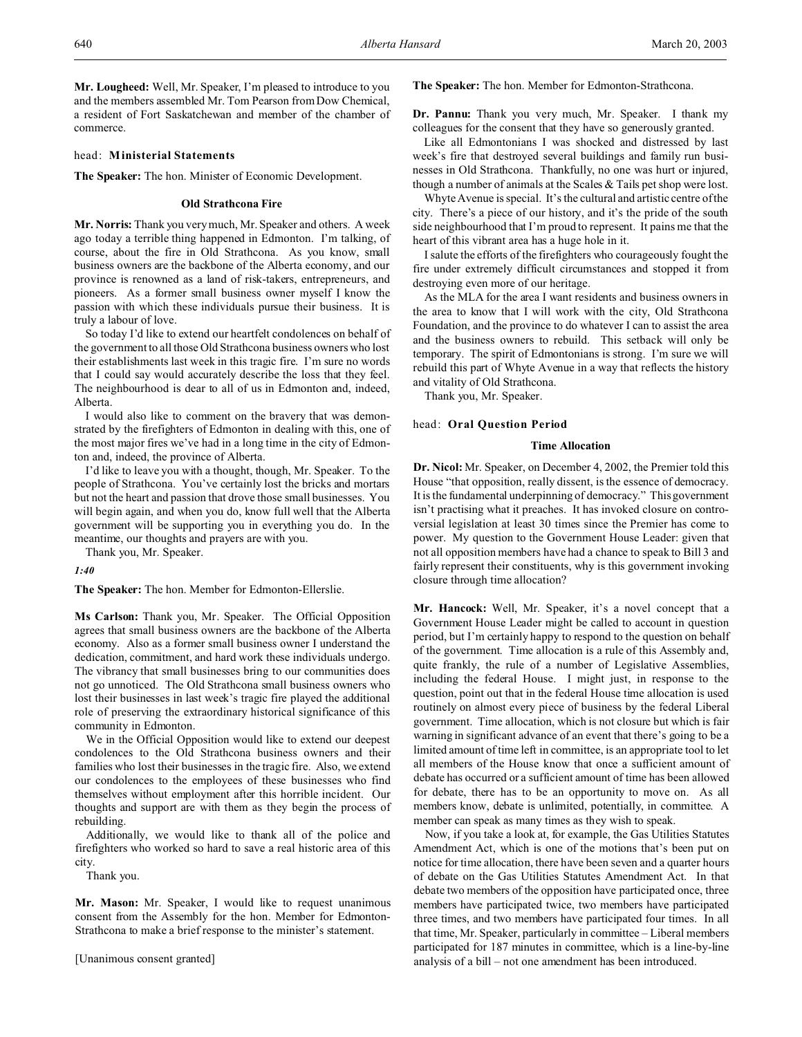**Mr. Lougheed:** Well, Mr. Speaker, I'm pleased to introduce to you and the members assembled Mr. Tom Pearson from Dow Chemical, a resident of Fort Saskatchewan and member of the chamber of commerce.

### head: **Ministerial Statements**

**The Speaker:** The hon. Minister of Economic Development.

### **Old Strathcona Fire**

**Mr. Norris:** Thank you very much, Mr. Speaker and others. A week ago today a terrible thing happened in Edmonton. I'm talking, of course, about the fire in Old Strathcona. As you know, small business owners are the backbone of the Alberta economy, and our province is renowned as a land of risk-takers, entrepreneurs, and pioneers. As a former small business owner myself I know the passion with which these individuals pursue their business. It is truly a labour of love.

So today I'd like to extend our heartfelt condolences on behalf of the government to all those Old Strathcona business owners who lost their establishments last week in this tragic fire. I'm sure no words that I could say would accurately describe the loss that they feel. The neighbourhood is dear to all of us in Edmonton and, indeed, Alberta.

I would also like to comment on the bravery that was demonstrated by the firefighters of Edmonton in dealing with this, one of the most major fires we've had in a long time in the city of Edmonton and, indeed, the province of Alberta.

I'd like to leave you with a thought, though, Mr. Speaker. To the people of Strathcona. You've certainly lost the bricks and mortars but not the heart and passion that drove those small businesses. You will begin again, and when you do, know full well that the Alberta government will be supporting you in everything you do. In the meantime, our thoughts and prayers are with you.

Thank you, Mr. Speaker.

*1:40*

**The Speaker:** The hon. Member for Edmonton-Ellerslie.

**Ms Carlson:** Thank you, Mr. Speaker. The Official Opposition agrees that small business owners are the backbone of the Alberta economy. Also as a former small business owner I understand the dedication, commitment, and hard work these individuals undergo. The vibrancy that small businesses bring to our communities does not go unnoticed. The Old Strathcona small business owners who lost their businesses in last week's tragic fire played the additional role of preserving the extraordinary historical significance of this community in Edmonton.

We in the Official Opposition would like to extend our deepest condolences to the Old Strathcona business owners and their families who lost their businesses in the tragic fire. Also, we extend our condolences to the employees of these businesses who find themselves without employment after this horrible incident. Our thoughts and support are with them as they begin the process of rebuilding.

Additionally, we would like to thank all of the police and firefighters who worked so hard to save a real historic area of this city.

Thank you.

**Mr. Mason:** Mr. Speaker, I would like to request unanimous consent from the Assembly for the hon. Member for Edmonton-Strathcona to make a brief response to the minister's statement.

[Unanimous consent granted]

**The Speaker:** The hon. Member for Edmonton-Strathcona.

**Dr. Pannu:** Thank you very much, Mr. Speaker. I thank my colleagues for the consent that they have so generously granted.

Like all Edmontonians I was shocked and distressed by last week's fire that destroyed several buildings and family run businesses in Old Strathcona. Thankfully, no one was hurt or injured, though a number of animals at the Scales & Tails pet shop were lost.

Whyte Avenue is special. It's the cultural and artistic centre of the city. There's a piece of our history, and it's the pride of the south side neighbourhood that I'm proud to represent. It pains me that the heart of this vibrant area has a huge hole in it.

I salute the efforts of the firefighters who courageously fought the fire under extremely difficult circumstances and stopped it from destroying even more of our heritage.

As the MLA for the area I want residents and business owners in the area to know that I will work with the city, Old Strathcona Foundation, and the province to do whatever I can to assist the area and the business owners to rebuild. This setback will only be temporary. The spirit of Edmontonians is strong. I'm sure we will rebuild this part of Whyte Avenue in a way that reflects the history and vitality of Old Strathcona.

Thank you, Mr. Speaker.

#### head: **Oral Question Period**

#### **Time Allocation**

**Dr. Nicol:** Mr. Speaker, on December 4, 2002, the Premier told this House "that opposition, really dissent, is the essence of democracy. It is the fundamental underpinning of democracy." This government isn't practising what it preaches. It has invoked closure on controversial legislation at least 30 times since the Premier has come to power. My question to the Government House Leader: given that not all opposition members have had a chance to speak to Bill 3 and fairly represent their constituents, why is this government invoking closure through time allocation?

**Mr. Hancock:** Well, Mr. Speaker, it's a novel concept that a Government House Leader might be called to account in question period, but I'm certainly happy to respond to the question on behalf of the government. Time allocation is a rule of this Assembly and, quite frankly, the rule of a number of Legislative Assemblies, including the federal House. I might just, in response to the question, point out that in the federal House time allocation is used routinely on almost every piece of business by the federal Liberal government. Time allocation, which is not closure but which is fair warning in significant advance of an event that there's going to be a limited amount of time left in committee, is an appropriate tool to let all members of the House know that once a sufficient amount of debate has occurred or a sufficient amount of time has been allowed for debate, there has to be an opportunity to move on. As all members know, debate is unlimited, potentially, in committee. A member can speak as many times as they wish to speak.

Now, if you take a look at, for example, the Gas Utilities Statutes Amendment Act, which is one of the motions that's been put on notice for time allocation, there have been seven and a quarter hours of debate on the Gas Utilities Statutes Amendment Act. In that debate two members of the opposition have participated once, three members have participated twice, two members have participated three times, and two members have participated four times. In all that time, Mr. Speaker, particularly in committee – Liberal members participated for 187 minutes in committee, which is a line-by-line analysis of a bill – not one amendment has been introduced.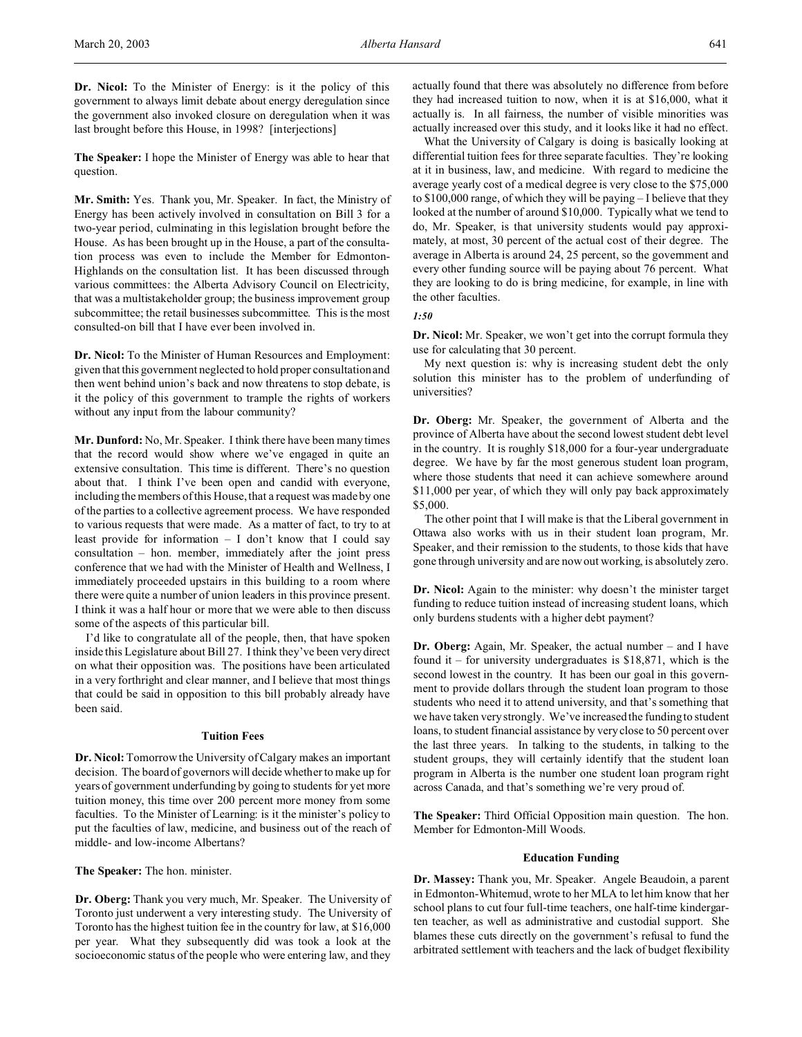**Dr. Nicol:** To the Minister of Energy: is it the policy of this government to always limit debate about energy deregulation since the government also invoked closure on deregulation when it was last brought before this House, in 1998? [interjections]

**The Speaker:** I hope the Minister of Energy was able to hear that question.

**Mr. Smith:** Yes. Thank you, Mr. Speaker. In fact, the Ministry of Energy has been actively involved in consultation on Bill 3 for a two-year period, culminating in this legislation brought before the House. As has been brought up in the House, a part of the consultation process was even to include the Member for Edmonton-Highlands on the consultation list. It has been discussed through various committees: the Alberta Advisory Council on Electricity, that was a multistakeholder group; the business improvement group subcommittee; the retail businesses subcommittee. This is the most consulted-on bill that I have ever been involved in.

**Dr. Nicol:** To the Minister of Human Resources and Employment: given that this government neglected to hold proper consultation and then went behind union's back and now threatens to stop debate, is it the policy of this government to trample the rights of workers without any input from the labour community?

**Mr. Dunford:** No, Mr. Speaker. I think there have been many times that the record would show where we've engaged in quite an extensive consultation. This time is different. There's no question about that. I think I've been open and candid with everyone, including the members of this House, that a request was made by one of the parties to a collective agreement process. We have responded to various requests that were made. As a matter of fact, to try to at least provide for information – I don't know that I could say consultation – hon. member, immediately after the joint press conference that we had with the Minister of Health and Wellness, I immediately proceeded upstairs in this building to a room where there were quite a number of union leaders in this province present. I think it was a half hour or more that we were able to then discuss some of the aspects of this particular bill.

I'd like to congratulate all of the people, then, that have spoken inside this Legislature about Bill 27. I think they've been very direct on what their opposition was. The positions have been articulated in a very forthright and clear manner, and I believe that most things that could be said in opposition to this bill probably already have been said.

# **Tuition Fees**

**Dr. Nicol:** Tomorrow the University of Calgary makes an important decision. The board of governors will decide whether to make up for years of government underfunding by going to students for yet more tuition money, this time over 200 percent more money from some faculties. To the Minister of Learning: is it the minister's policy to put the faculties of law, medicine, and business out of the reach of middle- and low-income Albertans?

**The Speaker:** The hon. minister.

**Dr. Oberg:** Thank you very much, Mr. Speaker. The University of Toronto just underwent a very interesting study. The University of Toronto has the highest tuition fee in the country for law, at \$16,000 per year. What they subsequently did was took a look at the socioeconomic status of the people who were entering law, and they

actually found that there was absolutely no difference from before they had increased tuition to now, when it is at \$16,000, what it actually is. In all fairness, the number of visible minorities was actually increased over this study, and it looks like it had no effect.

What the University of Calgary is doing is basically looking at differential tuition fees for three separate faculties. They're looking at it in business, law, and medicine. With regard to medicine the average yearly cost of a medical degree is very close to the \$75,000 to \$100,000 range, of which they will be paying – I believe that they looked at the number of around \$10,000. Typically what we tend to do, Mr. Speaker, is that university students would pay approximately, at most, 30 percent of the actual cost of their degree. The average in Alberta is around 24, 25 percent, so the government and every other funding source will be paying about 76 percent. What they are looking to do is bring medicine, for example, in line with the other faculties.

## *1:50*

**Dr. Nicol:** Mr. Speaker, we won't get into the corrupt formula they use for calculating that 30 percent.

My next question is: why is increasing student debt the only solution this minister has to the problem of underfunding of universities?

**Dr. Oberg:** Mr. Speaker, the government of Alberta and the province of Alberta have about the second lowest student debt level in the country. It is roughly \$18,000 for a four-year undergraduate degree. We have by far the most generous student loan program, where those students that need it can achieve somewhere around \$11,000 per year, of which they will only pay back approximately \$5,000.

The other point that I will make is that the Liberal government in Ottawa also works with us in their student loan program, Mr. Speaker, and their remission to the students, to those kids that have gone through university and are now out working, is absolutely zero.

**Dr. Nicol:** Again to the minister: why doesn't the minister target funding to reduce tuition instead of increasing student loans, which only burdens students with a higher debt payment?

**Dr. Oberg:** Again, Mr. Speaker, the actual number – and I have found it – for university undergraduates is  $$18,871$ , which is the second lowest in the country. It has been our goal in this government to provide dollars through the student loan program to those students who need it to attend university, and that's something that we have taken very strongly. We've increased the funding to student loans, to student financial assistance by very close to 50 percent over the last three years. In talking to the students, in talking to the student groups, they will certainly identify that the student loan program in Alberta is the number one student loan program right across Canada, and that's something we're very proud of.

**The Speaker:** Third Official Opposition main question. The hon. Member for Edmonton-Mill Woods.

### **Education Funding**

**Dr. Massey:** Thank you, Mr. Speaker. Angele Beaudoin, a parent in Edmonton-Whitemud, wrote to her MLA to let him know that her school plans to cut four full-time teachers, one half-time kindergarten teacher, as well as administrative and custodial support. She blames these cuts directly on the government's refusal to fund the arbitrated settlement with teachers and the lack of budget flexibility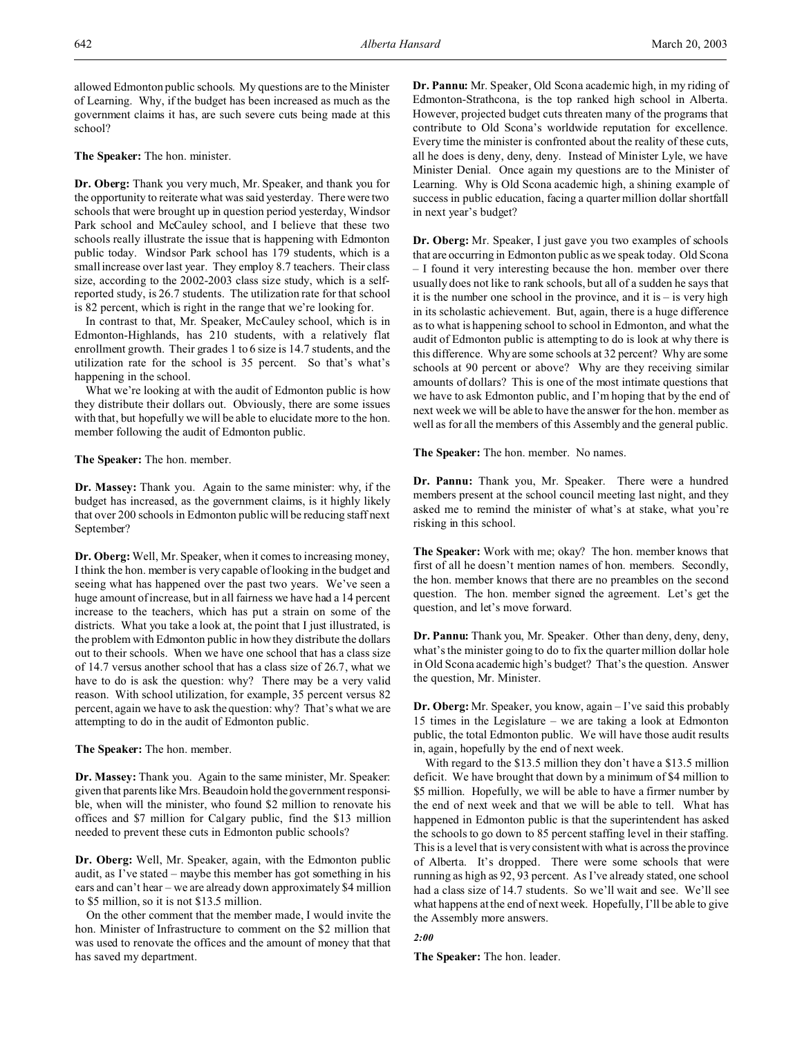allowed Edmonton public schools. My questions are to the Minister of Learning. Why, if the budget has been increased as much as the government claims it has, are such severe cuts being made at this school?

**The Speaker:** The hon. minister.

**Dr. Oberg:** Thank you very much, Mr. Speaker, and thank you for the opportunity to reiterate what was said yesterday. There were two schools that were brought up in question period yesterday, Windsor Park school and McCauley school, and I believe that these two schools really illustrate the issue that is happening with Edmonton public today. Windsor Park school has 179 students, which is a small increase over last year. They employ 8.7 teachers. Their class size, according to the 2002-2003 class size study, which is a selfreported study, is 26.7 students. The utilization rate for that school is 82 percent, which is right in the range that we're looking for.

In contrast to that, Mr. Speaker, McCauley school, which is in Edmonton-Highlands, has 210 students, with a relatively flat enrollment growth. Their grades 1 to 6 size is 14.7 students, and the utilization rate for the school is 35 percent. So that's what's happening in the school.

What we're looking at with the audit of Edmonton public is how they distribute their dollars out. Obviously, there are some issues with that, but hopefully we will be able to elucidate more to the hon. member following the audit of Edmonton public.

**The Speaker:** The hon. member.

**Dr. Massey:** Thank you. Again to the same minister: why, if the budget has increased, as the government claims, is it highly likely that over 200 schools in Edmonton public will be reducing staff next September?

**Dr. Oberg:** Well, Mr. Speaker, when it comes to increasing money, I think the hon. member is very capable of looking in the budget and seeing what has happened over the past two years. We've seen a huge amount of increase, but in all fairness we have had a 14 percent increase to the teachers, which has put a strain on some of the districts. What you take a look at, the point that I just illustrated, is the problem with Edmonton public in how they distribute the dollars out to their schools. When we have one school that has a class size of 14.7 versus another school that has a class size of 26.7, what we have to do is ask the question: why? There may be a very valid reason. With school utilization, for example, 35 percent versus 82 percent, again we have to ask the question: why? That's what we are attempting to do in the audit of Edmonton public.

**The Speaker:** The hon. member.

**Dr. Massey:** Thank you. Again to the same minister, Mr. Speaker: given that parents like Mrs. Beaudoin hold the government responsible, when will the minister, who found \$2 million to renovate his offices and \$7 million for Calgary public, find the \$13 million needed to prevent these cuts in Edmonton public schools?

**Dr. Oberg:** Well, Mr. Speaker, again, with the Edmonton public audit, as I've stated – maybe this member has got something in his ears and can't hear – we are already down approximately \$4 million to \$5 million, so it is not \$13.5 million.

On the other comment that the member made, I would invite the hon. Minister of Infrastructure to comment on the \$2 million that was used to renovate the offices and the amount of money that that has saved my department.

**Dr. Pannu:** Mr. Speaker, Old Scona academic high, in my riding of Edmonton-Strathcona, is the top ranked high school in Alberta. However, projected budget cuts threaten many of the programs that contribute to Old Scona's worldwide reputation for excellence. Every time the minister is confronted about the reality of these cuts, all he does is deny, deny, deny. Instead of Minister Lyle, we have Minister Denial. Once again my questions are to the Minister of Learning. Why is Old Scona academic high, a shining example of success in public education, facing a quarter million dollar shortfall in next year's budget?

**Dr. Oberg:** Mr. Speaker, I just gave you two examples of schools that are occurring in Edmonton public as we speak today. Old Scona – I found it very interesting because the hon. member over there usually does not like to rank schools, but all of a sudden he says that it is the number one school in the province, and it is – is very high in its scholastic achievement. But, again, there is a huge difference as to what is happening school to school in Edmonton, and what the audit of Edmonton public is attempting to do is look at why there is this difference. Why are some schools at 32 percent? Why are some schools at 90 percent or above? Why are they receiving similar amounts of dollars? This is one of the most intimate questions that we have to ask Edmonton public, and I'm hoping that by the end of next week we will be able to have the answer for the hon. member as well as for all the members of this Assembly and the general public.

**The Speaker:** The hon. member. No names.

**Dr. Pannu:** Thank you, Mr. Speaker. There were a hundred members present at the school council meeting last night, and they asked me to remind the minister of what's at stake, what you're risking in this school.

**The Speaker:** Work with me; okay? The hon. member knows that first of all he doesn't mention names of hon. members. Secondly, the hon. member knows that there are no preambles on the second question. The hon. member signed the agreement. Let's get the question, and let's move forward.

**Dr. Pannu:** Thank you, Mr. Speaker. Other than deny, deny, deny, what's the minister going to do to fix the quarter million dollar hole in Old Scona academic high's budget? That's the question. Answer the question, Mr. Minister.

**Dr. Oberg:** Mr. Speaker, you know, again – I've said this probably 15 times in the Legislature – we are taking a look at Edmonton public, the total Edmonton public. We will have those audit results in, again, hopefully by the end of next week.

With regard to the \$13.5 million they don't have a \$13.5 million deficit. We have brought that down by a minimum of \$4 million to \$5 million. Hopefully, we will be able to have a firmer number by the end of next week and that we will be able to tell. What has happened in Edmonton public is that the superintendent has asked the schools to go down to 85 percent staffing level in their staffing. This is a level that is very consistent with what is across the province of Alberta. It's dropped. There were some schools that were running as high as 92, 93 percent. As I've already stated, one school had a class size of 14.7 students. So we'll wait and see. We'll see what happens at the end of next week. Hopefully, I'll be able to give the Assembly more answers.

*2:00*

**The Speaker:** The hon. leader.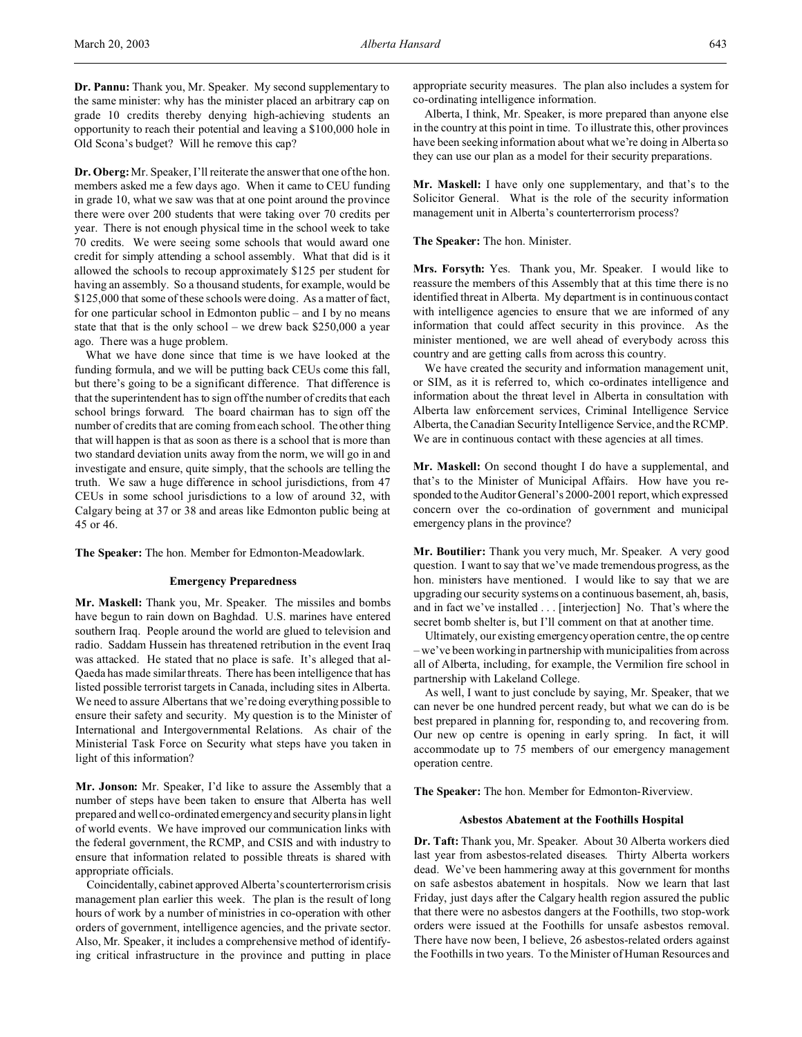**Dr. Pannu:** Thank you, Mr. Speaker. My second supplementary to the same minister: why has the minister placed an arbitrary cap on grade 10 credits thereby denying high-achieving students an opportunity to reach their potential and leaving a \$100,000 hole in Old Scona's budget? Will he remove this cap?

**Dr. Oberg:**Mr. Speaker, I'll reiterate the answer that one of the hon. members asked me a few days ago. When it came to CEU funding in grade 10, what we saw was that at one point around the province there were over 200 students that were taking over 70 credits per year. There is not enough physical time in the school week to take 70 credits. We were seeing some schools that would award one credit for simply attending a school assembly. What that did is it allowed the schools to recoup approximately \$125 per student for having an assembly. So a thousand students, for example, would be \$125,000 that some of these schools were doing. As a matter of fact, for one particular school in Edmonton public – and I by no means state that that is the only school – we drew back \$250,000 a year ago. There was a huge problem.

What we have done since that time is we have looked at the funding formula, and we will be putting back CEUs come this fall, but there's going to be a significant difference. That difference is that the superintendent has to sign off the number of credits that each school brings forward. The board chairman has to sign off the number of credits that are coming from each school. The other thing that will happen is that as soon as there is a school that is more than two standard deviation units away from the norm, we will go in and investigate and ensure, quite simply, that the schools are telling the truth. We saw a huge difference in school jurisdictions, from 47 CEUs in some school jurisdictions to a low of around 32, with Calgary being at 37 or 38 and areas like Edmonton public being at 45 or 46.

**The Speaker:** The hon. Member for Edmonton-Meadowlark.

#### **Emergency Preparedness**

**Mr. Maskell:** Thank you, Mr. Speaker. The missiles and bombs have begun to rain down on Baghdad. U.S. marines have entered southern Iraq. People around the world are glued to television and radio. Saddam Hussein has threatened retribution in the event Iraq was attacked. He stated that no place is safe. It's alleged that al-Qaeda has made similar threats. There has been intelligence that has listed possible terrorist targets in Canada, including sites in Alberta. We need to assure Albertans that we're doing everything possible to ensure their safety and security. My question is to the Minister of International and Intergovernmental Relations. As chair of the Ministerial Task Force on Security what steps have you taken in light of this information?

**Mr. Jonson:** Mr. Speaker, I'd like to assure the Assembly that a number of steps have been taken to ensure that Alberta has well prepared and well co-ordinated emergency and security plans in light of world events. We have improved our communication links with the federal government, the RCMP, and CSIS and with industry to ensure that information related to possible threats is shared with appropriate officials.

Coincidentally, cabinet approved Alberta's counterterrorism crisis management plan earlier this week. The plan is the result of long hours of work by a number of ministries in co-operation with other orders of government, intelligence agencies, and the private sector. Also, Mr. Speaker, it includes a comprehensive method of identifying critical infrastructure in the province and putting in place

appropriate security measures. The plan also includes a system for co-ordinating intelligence information.

Alberta, I think, Mr. Speaker, is more prepared than anyone else in the country at this point in time. To illustrate this, other provinces have been seeking information about what we're doing in Alberta so they can use our plan as a model for their security preparations.

**Mr. Maskell:** I have only one supplementary, and that's to the Solicitor General. What is the role of the security information management unit in Alberta's counterterrorism process?

**The Speaker:** The hon. Minister.

**Mrs. Forsyth:** Yes. Thank you, Mr. Speaker. I would like to reassure the members of this Assembly that at this time there is no identified threat in Alberta. My department is in continuous contact with intelligence agencies to ensure that we are informed of any information that could affect security in this province. As the minister mentioned, we are well ahead of everybody across this country and are getting calls from across this country.

We have created the security and information management unit, or SIM, as it is referred to, which co-ordinates intelligence and information about the threat level in Alberta in consultation with Alberta law enforcement services, Criminal Intelligence Service Alberta, the Canadian Security Intelligence Service, and the RCMP. We are in continuous contact with these agencies at all times.

**Mr. Maskell:** On second thought I do have a supplemental, and that's to the Minister of Municipal Affairs. How have you responded to the Auditor General's 2000-2001 report, which expressed concern over the co-ordination of government and municipal emergency plans in the province?

**Mr. Boutilier:** Thank you very much, Mr. Speaker. A very good question. I want to say that we've made tremendous progress, as the hon. ministers have mentioned. I would like to say that we are upgrading our security systems on a continuous basement, ah, basis, and in fact we've installed . . . [interjection] No. That's where the secret bomb shelter is, but I'll comment on that at another time.

Ultimately, our existing emergency operation centre, the op centre – we've been working in partnership with municipalities from across all of Alberta, including, for example, the Vermilion fire school in partnership with Lakeland College.

As well, I want to just conclude by saying, Mr. Speaker, that we can never be one hundred percent ready, but what we can do is be best prepared in planning for, responding to, and recovering from. Our new op centre is opening in early spring. In fact, it will accommodate up to 75 members of our emergency management operation centre.

**The Speaker:** The hon. Member for Edmonton-Riverview.

### **Asbestos Abatement at the Foothills Hospital**

**Dr. Taft:** Thank you, Mr. Speaker. About 30 Alberta workers died last year from asbestos-related diseases. Thirty Alberta workers dead. We've been hammering away at this government for months on safe asbestos abatement in hospitals. Now we learn that last Friday, just days after the Calgary health region assured the public that there were no asbestos dangers at the Foothills, two stop-work orders were issued at the Foothills for unsafe asbestos removal. There have now been, I believe, 26 asbestos-related orders against the Foothills in two years. To the Minister of Human Resources and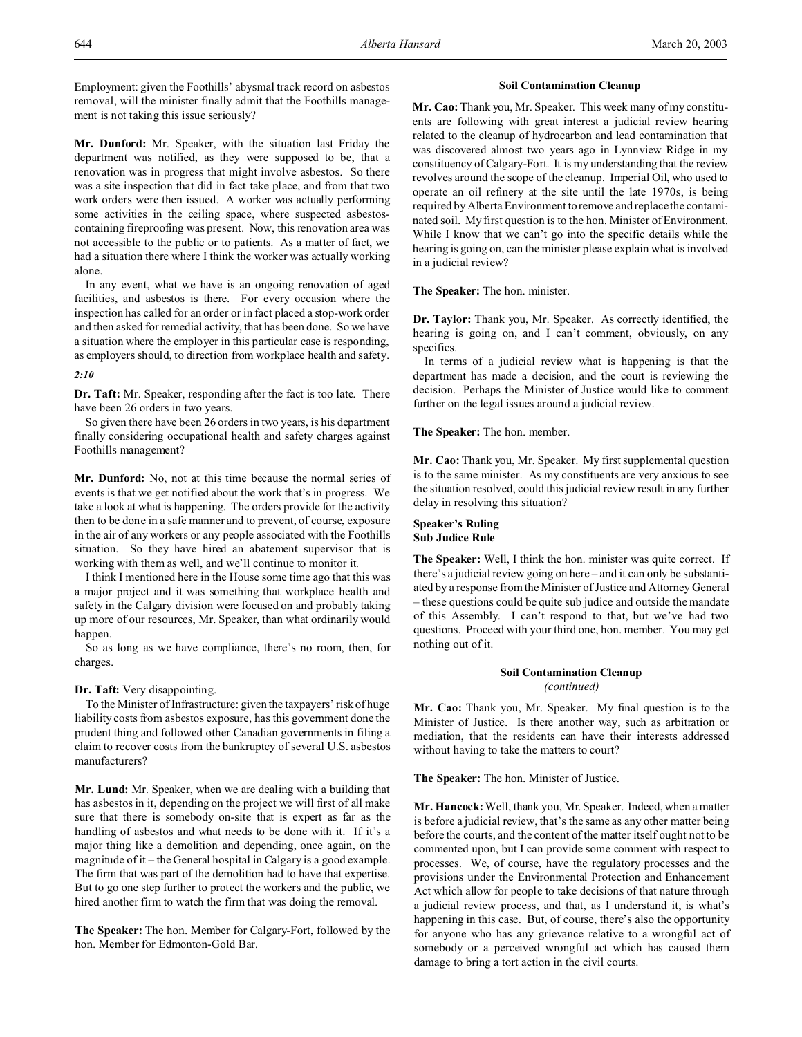Employment: given the Foothills' abysmal track record on asbestos removal, will the minister finally admit that the Foothills management is not taking this issue seriously?

**Mr. Dunford:** Mr. Speaker, with the situation last Friday the department was notified, as they were supposed to be, that a renovation was in progress that might involve asbestos. So there was a site inspection that did in fact take place, and from that two work orders were then issued. A worker was actually performing some activities in the ceiling space, where suspected asbestoscontaining fireproofing was present. Now, this renovation area was not accessible to the public or to patients. As a matter of fact, we had a situation there where I think the worker was actually working alone.

In any event, what we have is an ongoing renovation of aged facilities, and asbestos is there. For every occasion where the inspection has called for an order or in fact placed a stop-work order and then asked for remedial activity, that has been done. So we have a situation where the employer in this particular case is responding, as employers should, to direction from workplace health and safety.

#### *2:10*

**Dr. Taft:** Mr. Speaker, responding after the fact is too late. There have been 26 orders in two years.

So given there have been 26 orders in two years, is his department finally considering occupational health and safety charges against Foothills management?

**Mr. Dunford:** No, not at this time because the normal series of events is that we get notified about the work that's in progress. We take a look at what is happening. The orders provide for the activity then to be done in a safe manner and to prevent, of course, exposure in the air of any workers or any people associated with the Foothills situation. So they have hired an abatement supervisor that is working with them as well, and we'll continue to monitor it.

I think I mentioned here in the House some time ago that this was a major project and it was something that workplace health and safety in the Calgary division were focused on and probably taking up more of our resources, Mr. Speaker, than what ordinarily would happen.

So as long as we have compliance, there's no room, then, for charges.

### **Dr. Taft:** Very disappointing.

To the Minister of Infrastructure: given the taxpayers' risk of huge liability costs from asbestos exposure, has this government done the prudent thing and followed other Canadian governments in filing a claim to recover costs from the bankruptcy of several U.S. asbestos manufacturers?

**Mr. Lund:** Mr. Speaker, when we are dealing with a building that has asbestos in it, depending on the project we will first of all make sure that there is somebody on-site that is expert as far as the handling of asbestos and what needs to be done with it. If it's a major thing like a demolition and depending, once again, on the magnitude of it – the General hospital in Calgary is a good example. The firm that was part of the demolition had to have that expertise. But to go one step further to protect the workers and the public, we hired another firm to watch the firm that was doing the removal.

**The Speaker:** The hon. Member for Calgary-Fort, followed by the hon. Member for Edmonton-Gold Bar.

### **Soil Contamination Cleanup**

**Mr. Cao:** Thank you, Mr. Speaker. This week many of my constituents are following with great interest a judicial review hearing related to the cleanup of hydrocarbon and lead contamination that was discovered almost two years ago in Lynnview Ridge in my constituency of Calgary-Fort. It is my understanding that the review revolves around the scope of the cleanup. Imperial Oil, who used to operate an oil refinery at the site until the late 1970s, is being required by Alberta Environment to remove and replace the contaminated soil. My first question is to the hon. Minister of Environment. While I know that we can't go into the specific details while the hearing is going on, can the minister please explain what is involved in a judicial review?

**The Speaker:** The hon. minister.

**Dr. Taylor:** Thank you, Mr. Speaker. As correctly identified, the hearing is going on, and I can't comment, obviously, on any specifics.

In terms of a judicial review what is happening is that the department has made a decision, and the court is reviewing the decision. Perhaps the Minister of Justice would like to comment further on the legal issues around a judicial review.

**The Speaker:** The hon. member.

**Mr. Cao:** Thank you, Mr. Speaker. My first supplemental question is to the same minister. As my constituents are very anxious to see the situation resolved, could this judicial review result in any further delay in resolving this situation?

# **Speaker's Ruling Sub Judice Rule**

**The Speaker:** Well, I think the hon. minister was quite correct. If there's a judicial review going on here – and it can only be substantiated by a response from the Minister of Justice and Attorney General – these questions could be quite sub judice and outside the mandate of this Assembly. I can't respond to that, but we've had two questions. Proceed with your third one, hon. member. You may get nothing out of it.

### **Soil Contamination Cleanup** *(continued)*

**Mr. Cao:** Thank you, Mr. Speaker. My final question is to the Minister of Justice. Is there another way, such as arbitration or mediation, that the residents can have their interests addressed without having to take the matters to court?

**The Speaker:** The hon. Minister of Justice.

**Mr. Hancock:** Well, thank you, Mr. Speaker. Indeed, when a matter is before a judicial review, that's the same as any other matter being before the courts, and the content of the matter itself ought not to be commented upon, but I can provide some comment with respect to processes. We, of course, have the regulatory processes and the provisions under the Environmental Protection and Enhancement Act which allow for people to take decisions of that nature through a judicial review process, and that, as I understand it, is what's happening in this case. But, of course, there's also the opportunity for anyone who has any grievance relative to a wrongful act of somebody or a perceived wrongful act which has caused them damage to bring a tort action in the civil courts.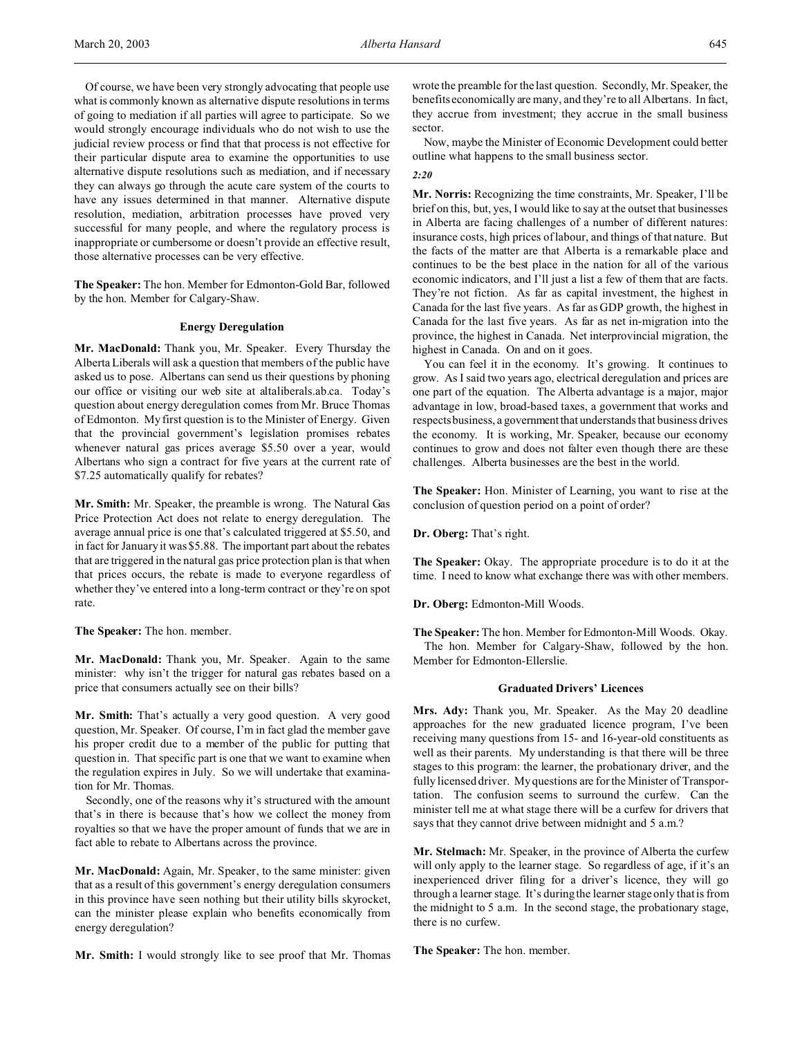Of course, we have been very strongly advocating that people use what is commonly known as alternative dispute resolutions in terms of going to mediation if all parties will agree to participate. So we would strongly encourage individuals who do not wish to use the judicial review process or find that that process is not effective for their particular dispute area to examine the opportunities to use alternative dispute resolutions such as mediation, and if necessary they can always go through the acute care system of the courts to have any issues determined in that manner. Alternative dispute resolution, mediation, arbitration processes have proved very successful for many people, and where the regulatory process is inappropriate or cumbersome or doesn't provide an effective result, those alternative processes can be very effective.

**The Speaker:** The hon. Member for Edmonton-Gold Bar, followed by the hon. Member for Calgary-Shaw.

### **Energy Deregulation**

**Mr. MacDonald:** Thank you, Mr. Speaker. Every Thursday the Alberta Liberals will ask a question that members of the public have asked us to pose. Albertans can send us their questions by phoning our office or visiting our web site at altaliberals.ab.ca. Today's question about energy deregulation comes from Mr. Bruce Thomas of Edmonton. My first question is to the Minister of Energy. Given that the provincial government's legislation promises rebates whenever natural gas prices average \$5.50 over a year, would Albertans who sign a contract for five years at the current rate of \$7.25 automatically qualify for rebates?

**Mr. Smith:** Mr. Speaker, the preamble is wrong. The Natural Gas Price Protection Act does not relate to energy deregulation. The average annual price is one that's calculated triggered at \$5.50, and in fact for January it was \$5.88. The important part about the rebates that are triggered in the natural gas price protection plan is that when that prices occurs, the rebate is made to everyone regardless of whether they've entered into a long-term contract or they're on spot rate.

**The Speaker:** The hon. member.

**Mr. MacDonald:** Thank you, Mr. Speaker. Again to the same minister: why isn't the trigger for natural gas rebates based on a price that consumers actually see on their bills?

**Mr. Smith:** That's actually a very good question. A very good question, Mr. Speaker. Of course, I'm in fact glad the member gave his proper credit due to a member of the public for putting that question in. That specific part is one that we want to examine when the regulation expires in July. So we will undertake that examination for Mr. Thomas.

Secondly, one of the reasons why it's structured with the amount that's in there is because that's how we collect the money from royalties so that we have the proper amount of funds that we are in fact able to rebate to Albertans across the province.

**Mr. MacDonald:** Again, Mr. Speaker, to the same minister: given that as a result of this government's energy deregulation consumers in this province have seen nothing but their utility bills skyrocket, can the minister please explain who benefits economically from energy deregulation?

**Mr. Smith:** I would strongly like to see proof that Mr. Thomas

wrote the preamble for the last question. Secondly, Mr. Speaker, the benefits economically are many, and they're to all Albertans. In fact, they accrue from investment; they accrue in the small business sector.

Now, maybe the Minister of Economic Development could better outline what happens to the small business sector.

*2:20*

**Mr. Norris:** Recognizing the time constraints, Mr. Speaker, I'll be brief on this, but, yes, I would like to say at the outset that businesses in Alberta are facing challenges of a number of different natures: insurance costs, high prices of labour, and things of that nature. But the facts of the matter are that Alberta is a remarkable place and continues to be the best place in the nation for all of the various economic indicators, and I'll just a list a few of them that are facts. They're not fiction. As far as capital investment, the highest in Canada for the last five years. As far as GDP growth, the highest in Canada for the last five years. As far as net in-migration into the province, the highest in Canada. Net interprovincial migration, the highest in Canada. On and on it goes.

You can feel it in the economy. It's growing. It continues to grow. As I said two years ago, electrical deregulation and prices are one part of the equation. The Alberta advantage is a major, major advantage in low, broad-based taxes, a government that works and respects business, a government that understands that business drives the economy. It is working, Mr. Speaker, because our economy continues to grow and does not falter even though there are these challenges. Alberta businesses are the best in the world.

**The Speaker:** Hon. Minister of Learning, you want to rise at the conclusion of question period on a point of order?

**Dr. Oberg:** That's right.

**The Speaker:** Okay. The appropriate procedure is to do it at the time. I need to know what exchange there was with other members.

**Dr. Oberg:** Edmonton-Mill Woods.

**The Speaker:**The hon. Member for Edmonton-Mill Woods. Okay. The hon. Member for Calgary-Shaw, followed by the hon. Member for Edmonton-Ellerslie.

### **Graduated Drivers' Licences**

**Mrs. Ady:** Thank you, Mr. Speaker. As the May 20 deadline approaches for the new graduated licence program, I've been receiving many questions from 15- and 16-year-old constituents as well as their parents. My understanding is that there will be three stages to this program: the learner, the probationary driver, and the fully licensed driver. My questions are for the Minister of Transportation. The confusion seems to surround the curfew. Can the minister tell me at what stage there will be a curfew for drivers that says that they cannot drive between midnight and 5 a.m.?

**Mr. Stelmach:** Mr. Speaker, in the province of Alberta the curfew will only apply to the learner stage. So regardless of age, if it's an inexperienced driver filing for a driver's licence, they will go through a learner stage. It's during the learner stage only that is from the midnight to 5 a.m. In the second stage, the probationary stage, there is no curfew.

**The Speaker:** The hon. member.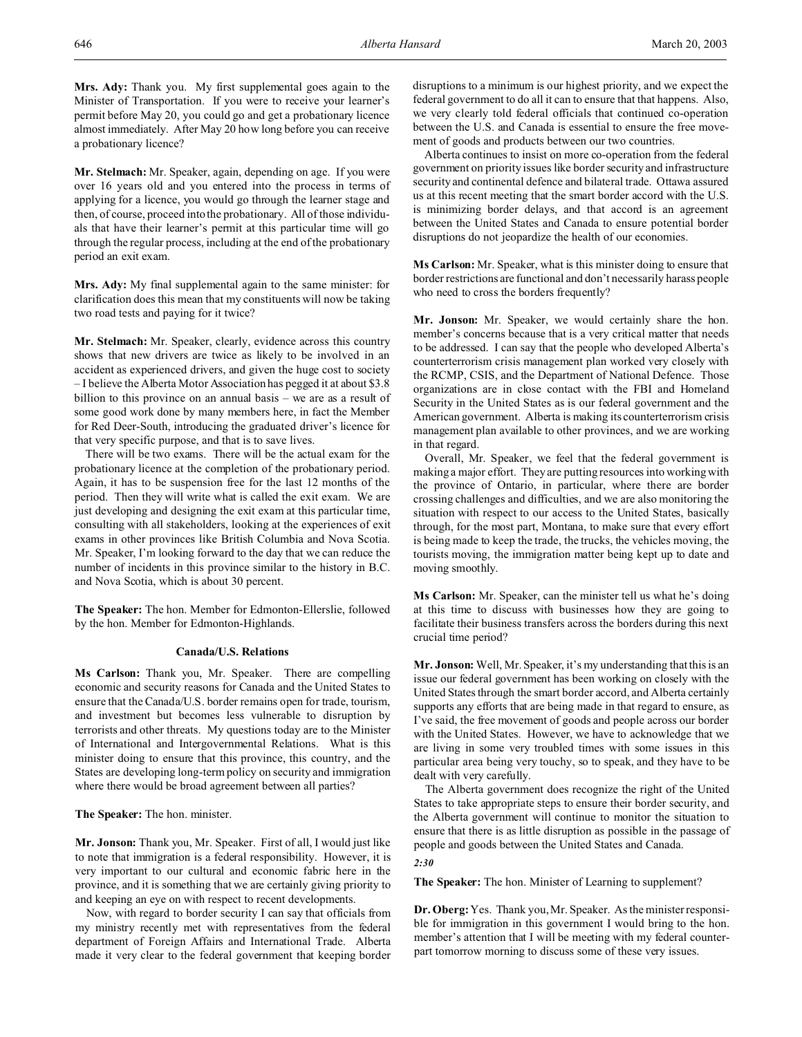**Mrs. Ady:** Thank you. My first supplemental goes again to the Minister of Transportation. If you were to receive your learner's permit before May 20, you could go and get a probationary licence almost immediately. After May 20 how long before you can receive a probationary licence?

**Mr. Stelmach:** Mr. Speaker, again, depending on age. If you were over 16 years old and you entered into the process in terms of applying for a licence, you would go through the learner stage and then, of course, proceed into the probationary. All of those individuals that have their learner's permit at this particular time will go through the regular process, including at the end of the probationary period an exit exam.

**Mrs. Ady:** My final supplemental again to the same minister: for clarification does this mean that my constituents will now be taking two road tests and paying for it twice?

**Mr. Stelmach:** Mr. Speaker, clearly, evidence across this country shows that new drivers are twice as likely to be involved in an accident as experienced drivers, and given the huge cost to society – I believe the Alberta Motor Association has pegged it at about \$3.8 billion to this province on an annual basis – we are as a result of some good work done by many members here, in fact the Member for Red Deer-South, introducing the graduated driver's licence for that very specific purpose, and that is to save lives.

There will be two exams. There will be the actual exam for the probationary licence at the completion of the probationary period. Again, it has to be suspension free for the last 12 months of the period. Then they will write what is called the exit exam. We are just developing and designing the exit exam at this particular time, consulting with all stakeholders, looking at the experiences of exit exams in other provinces like British Columbia and Nova Scotia. Mr. Speaker, I'm looking forward to the day that we can reduce the number of incidents in this province similar to the history in B.C. and Nova Scotia, which is about 30 percent.

**The Speaker:** The hon. Member for Edmonton-Ellerslie, followed by the hon. Member for Edmonton-Highlands.

#### **Canada/U.S. Relations**

**Ms Carlson:** Thank you, Mr. Speaker. There are compelling economic and security reasons for Canada and the United States to ensure that the Canada/U.S. border remains open for trade, tourism, and investment but becomes less vulnerable to disruption by terrorists and other threats. My questions today are to the Minister of International and Intergovernmental Relations. What is this minister doing to ensure that this province, this country, and the States are developing long-term policy on security and immigration where there would be broad agreement between all parties?

**The Speaker:** The hon. minister.

**Mr. Jonson:** Thank you, Mr. Speaker. First of all, I would just like to note that immigration is a federal responsibility. However, it is very important to our cultural and economic fabric here in the province, and it is something that we are certainly giving priority to and keeping an eye on with respect to recent developments.

Now, with regard to border security I can say that officials from my ministry recently met with representatives from the federal department of Foreign Affairs and International Trade. Alberta made it very clear to the federal government that keeping border

disruptions to a minimum is our highest priority, and we expect the federal government to do all it can to ensure that that happens. Also, we very clearly told federal officials that continued co-operation between the U.S. and Canada is essential to ensure the free movement of goods and products between our two countries.

Alberta continues to insist on more co-operation from the federal government on priority issues like border security and infrastructure security and continental defence and bilateral trade. Ottawa assured us at this recent meeting that the smart border accord with the U.S. is minimizing border delays, and that accord is an agreement between the United States and Canada to ensure potential border disruptions do not jeopardize the health of our economies.

**Ms Carlson:** Mr. Speaker, what is this minister doing to ensure that border restrictions are functional and don't necessarily harass people who need to cross the borders frequently?

**Mr. Jonson:** Mr. Speaker, we would certainly share the hon. member's concerns because that is a very critical matter that needs to be addressed. I can say that the people who developed Alberta's counterterrorism crisis management plan worked very closely with the RCMP, CSIS, and the Department of National Defence. Those organizations are in close contact with the FBI and Homeland Security in the United States as is our federal government and the American government. Alberta is making its counterterrorism crisis management plan available to other provinces, and we are working in that regard.

Overall, Mr. Speaker, we feel that the federal government is making a major effort. They are putting resources into working with the province of Ontario, in particular, where there are border crossing challenges and difficulties, and we are also monitoring the situation with respect to our access to the United States, basically through, for the most part, Montana, to make sure that every effort is being made to keep the trade, the trucks, the vehicles moving, the tourists moving, the immigration matter being kept up to date and moving smoothly.

**Ms Carlson:** Mr. Speaker, can the minister tell us what he's doing at this time to discuss with businesses how they are going to facilitate their business transfers across the borders during this next crucial time period?

**Mr. Jonson:** Well, Mr. Speaker, it's my understanding that this is an issue our federal government has been working on closely with the United States through the smart border accord, and Alberta certainly supports any efforts that are being made in that regard to ensure, as I've said, the free movement of goods and people across our border with the United States. However, we have to acknowledge that we are living in some very troubled times with some issues in this particular area being very touchy, so to speak, and they have to be dealt with very carefully.

The Alberta government does recognize the right of the United States to take appropriate steps to ensure their border security, and the Alberta government will continue to monitor the situation to ensure that there is as little disruption as possible in the passage of people and goods between the United States and Canada.

# *2:30*

**The Speaker:** The hon. Minister of Learning to supplement?

**Dr. Oberg:**Yes. Thank you, Mr. Speaker. As the minister responsible for immigration in this government I would bring to the hon. member's attention that I will be meeting with my federal counterpart tomorrow morning to discuss some of these very issues.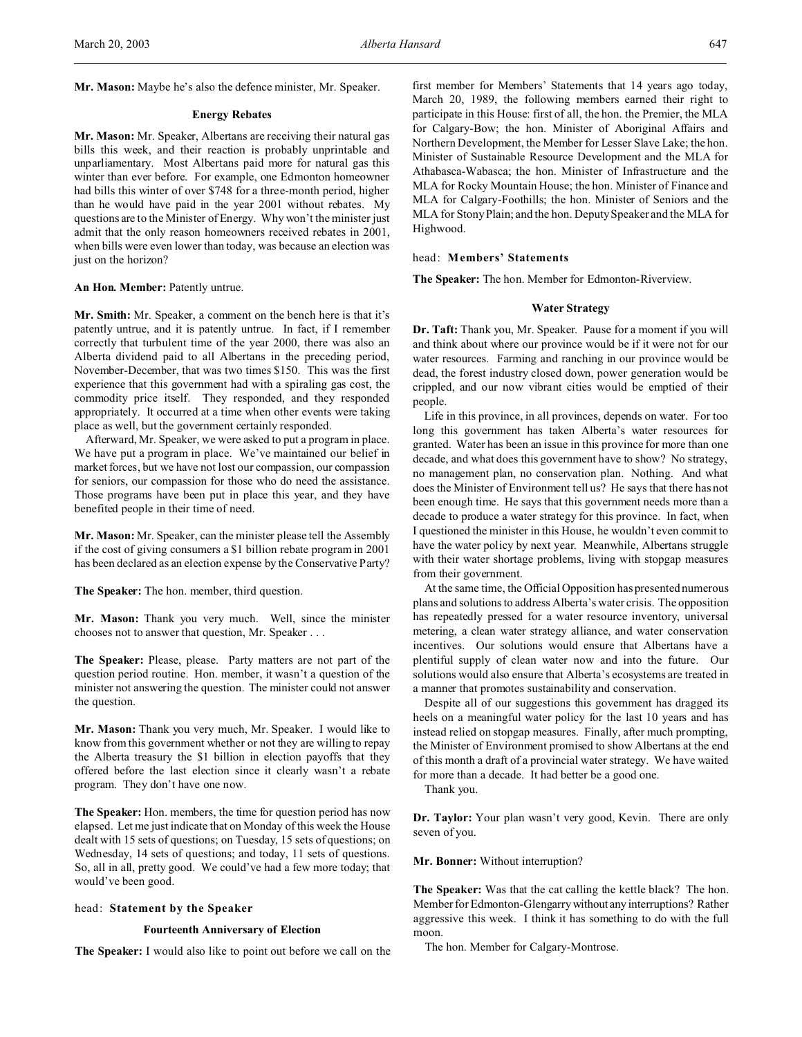**Mr. Mason:** Maybe he's also the defence minister, Mr. Speaker.

#### **Energy Rebates**

**Mr. Mason:** Mr. Speaker, Albertans are receiving their natural gas bills this week, and their reaction is probably unprintable and unparliamentary. Most Albertans paid more for natural gas this winter than ever before. For example, one Edmonton homeowner had bills this winter of over \$748 for a three-month period, higher than he would have paid in the year 2001 without rebates. My questions are to the Minister of Energy. Why won't the minister just admit that the only reason homeowners received rebates in 2001, when bills were even lower than today, was because an election was just on the horizon?

#### An Hon. Member: Patently untrue.

**Mr. Smith:** Mr. Speaker, a comment on the bench here is that it's patently untrue, and it is patently untrue. In fact, if I remember correctly that turbulent time of the year 2000, there was also an Alberta dividend paid to all Albertans in the preceding period, November-December, that was two times \$150. This was the first experience that this government had with a spiraling gas cost, the commodity price itself. They responded, and they responded appropriately. It occurred at a time when other events were taking place as well, but the government certainly responded.

Afterward, Mr. Speaker, we were asked to put a program in place. We have put a program in place. We've maintained our belief in market forces, but we have not lost our compassion, our compassion for seniors, our compassion for those who do need the assistance. Those programs have been put in place this year, and they have benefited people in their time of need.

**Mr. Mason:** Mr. Speaker, can the minister please tell the Assembly if the cost of giving consumers a \$1 billion rebate program in 2001 has been declared as an election expense by the Conservative Party?

**The Speaker:** The hon. member, third question.

**Mr. Mason:** Thank you very much. Well, since the minister chooses not to answer that question, Mr. Speaker . . .

**The Speaker:** Please, please. Party matters are not part of the question period routine. Hon. member, it wasn't a question of the minister not answering the question. The minister could not answer the question.

**Mr. Mason:** Thank you very much, Mr. Speaker. I would like to know from this government whether or not they are willing to repay the Alberta treasury the \$1 billion in election payoffs that they offered before the last election since it clearly wasn't a rebate program. They don't have one now.

**The Speaker:** Hon. members, the time for question period has now elapsed. Let me just indicate that on Monday of this week the House dealt with 15 sets of questions; on Tuesday, 15 sets of questions; on Wednesday, 14 sets of questions; and today, 11 sets of questions. So, all in all, pretty good. We could've had a few more today; that would've been good.

### head: **Statement by the Speaker**

### **Fourteenth Anniversary of Election**

**The Speaker:** I would also like to point out before we call on the

first member for Members' Statements that 14 years ago today, March 20, 1989, the following members earned their right to participate in this House: first of all, the hon. the Premier, the MLA for Calgary-Bow; the hon. Minister of Aboriginal Affairs and Northern Development, the Member for Lesser Slave Lake; the hon. Minister of Sustainable Resource Development and the MLA for Athabasca-Wabasca; the hon. Minister of Infrastructure and the MLA for Rocky Mountain House; the hon. Minister of Finance and MLA for Calgary-Foothills; the hon. Minister of Seniors and the MLA for Stony Plain; and the hon. Deputy Speaker and the MLA for Highwood.

## head: **Members' Statements**

**The Speaker:** The hon. Member for Edmonton-Riverview.

## **Water Strategy**

**Dr. Taft:** Thank you, Mr. Speaker. Pause for a moment if you will and think about where our province would be if it were not for our water resources. Farming and ranching in our province would be dead, the forest industry closed down, power generation would be crippled, and our now vibrant cities would be emptied of their people.

Life in this province, in all provinces, depends on water. For too long this government has taken Alberta's water resources for granted. Water has been an issue in this province for more than one decade, and what does this government have to show? No strategy, no management plan, no conservation plan. Nothing. And what does the Minister of Environment tell us? He says that there has not been enough time. He says that this government needs more than a decade to produce a water strategy for this province. In fact, when I questioned the minister in this House, he wouldn't even commit to have the water policy by next year. Meanwhile, Albertans struggle with their water shortage problems, living with stopgap measures from their government.

At the same time, the Official Opposition has presented numerous plans and solutions to address Alberta's water crisis. The opposition has repeatedly pressed for a water resource inventory, universal metering, a clean water strategy alliance, and water conservation incentives. Our solutions would ensure that Albertans have a plentiful supply of clean water now and into the future. Our solutions would also ensure that Alberta's ecosystems are treated in a manner that promotes sustainability and conservation.

Despite all of our suggestions this government has dragged its heels on a meaningful water policy for the last 10 years and has instead relied on stopgap measures. Finally, after much prompting, the Minister of Environment promised to show Albertans at the end of this month a draft of a provincial water strategy. We have waited for more than a decade. It had better be a good one.

Thank you.

**Dr. Taylor:** Your plan wasn't very good, Kevin. There are only seven of you.

**Mr. Bonner:** Without interruption?

**The Speaker:** Was that the cat calling the kettle black? The hon. Member for Edmonton-Glengarry without any interruptions? Rather aggressive this week. I think it has something to do with the full moon.

The hon. Member for Calgary-Montrose.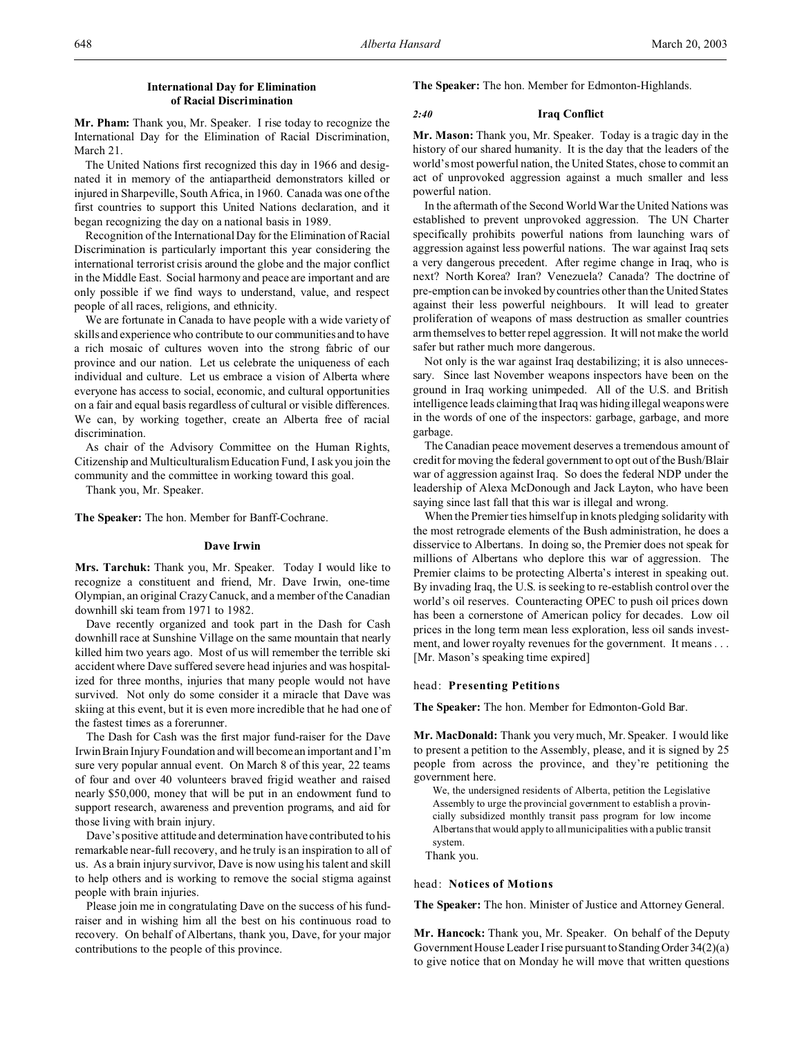# **International Day for Elimination of Racial Discrimination**

**Mr. Pham:** Thank you, Mr. Speaker. I rise today to recognize the International Day for the Elimination of Racial Discrimination, March 21.

The United Nations first recognized this day in 1966 and designated it in memory of the antiapartheid demonstrators killed or injured in Sharpeville, South Africa, in 1960. Canada was one of the first countries to support this United Nations declaration, and it began recognizing the day on a national basis in 1989.

Recognition of the International Day for the Elimination of Racial Discrimination is particularly important this year considering the international terrorist crisis around the globe and the major conflict in the Middle East. Social harmony and peace are important and are only possible if we find ways to understand, value, and respect people of all races, religions, and ethnicity.

We are fortunate in Canada to have people with a wide variety of skills and experience who contribute to our communities and to have a rich mosaic of cultures woven into the strong fabric of our province and our nation. Let us celebrate the uniqueness of each individual and culture. Let us embrace a vision of Alberta where everyone has access to social, economic, and cultural opportunities on a fair and equal basis regardless of cultural or visible differences. We can, by working together, create an Alberta free of racial discrimination.

As chair of the Advisory Committee on the Human Rights, Citizenship and Multiculturalism Education Fund, I ask you join the community and the committee in working toward this goal.

Thank you, Mr. Speaker.

**The Speaker:** The hon. Member for Banff-Cochrane.

#### **Dave Irwin**

**Mrs. Tarchuk:** Thank you, Mr. Speaker. Today I would like to recognize a constituent and friend, Mr. Dave Irwin, one-time Olympian, an original Crazy Canuck, and a member of the Canadian downhill ski team from 1971 to 1982.

Dave recently organized and took part in the Dash for Cash downhill race at Sunshine Village on the same mountain that nearly killed him two years ago. Most of us will remember the terrible ski accident where Dave suffered severe head injuries and was hospitalized for three months, injuries that many people would not have survived. Not only do some consider it a miracle that Dave was skiing at this event, but it is even more incredible that he had one of the fastest times as a forerunner.

The Dash for Cash was the first major fund-raiser for the Dave Irwin Brain Injury Foundation and will become an important and I'm sure very popular annual event. On March 8 of this year, 22 teams of four and over 40 volunteers braved frigid weather and raised nearly \$50,000, money that will be put in an endowment fund to support research, awareness and prevention programs, and aid for those living with brain injury.

Dave's positive attitude and determination have contributed to his remarkable near-full recovery, and he truly is an inspiration to all of us. As a brain injury survivor, Dave is now using his talent and skill to help others and is working to remove the social stigma against people with brain injuries.

Please join me in congratulating Dave on the success of his fundraiser and in wishing him all the best on his continuous road to recovery. On behalf of Albertans, thank you, Dave, for your major contributions to the people of this province.

**The Speaker:** The hon. Member for Edmonton-Highlands.

# *2:40* **Iraq Conflict**

**Mr. Mason:** Thank you, Mr. Speaker. Today is a tragic day in the history of our shared humanity. It is the day that the leaders of the world's most powerful nation, the United States, chose to commit an act of unprovoked aggression against a much smaller and less powerful nation.

In the aftermath of the Second World War the United Nations was established to prevent unprovoked aggression. The UN Charter specifically prohibits powerful nations from launching wars of aggression against less powerful nations. The war against Iraq sets a very dangerous precedent. After regime change in Iraq, who is next? North Korea? Iran? Venezuela? Canada? The doctrine of pre-emption can be invoked by countries other than the United States against their less powerful neighbours. It will lead to greater proliferation of weapons of mass destruction as smaller countries arm themselves to better repel aggression. It will not make the world safer but rather much more dangerous.

Not only is the war against Iraq destabilizing; it is also unnecessary. Since last November weapons inspectors have been on the ground in Iraq working unimpeded. All of the U.S. and British intelligence leads claiming that Iraq was hiding illegal weapons were in the words of one of the inspectors: garbage, garbage, and more garbage.

The Canadian peace movement deserves a tremendous amount of credit for moving the federal government to opt out of the Bush/Blair war of aggression against Iraq. So does the federal NDP under the leadership of Alexa McDonough and Jack Layton, who have been saying since last fall that this war is illegal and wrong.

When the Premier ties himself up in knots pledging solidarity with the most retrograde elements of the Bush administration, he does a disservice to Albertans. In doing so, the Premier does not speak for millions of Albertans who deplore this war of aggression. The Premier claims to be protecting Alberta's interest in speaking out. By invading Iraq, the U.S. is seeking to re-establish control over the world's oil reserves. Counteracting OPEC to push oil prices down has been a cornerstone of American policy for decades. Low oil prices in the long term mean less exploration, less oil sands investment, and lower royalty revenues for the government. It means . . . [Mr. Mason's speaking time expired]

## head: **Presenting Petitions**

**The Speaker:** The hon. Member for Edmonton-Gold Bar.

**Mr. MacDonald:** Thank you very much, Mr. Speaker. I would like to present a petition to the Assembly, please, and it is signed by 25 people from across the province, and they're petitioning the government here.

We, the undersigned residents of Alberta, petition the Legislative Assembly to urge the provincial government to establish a provincially subsidized monthly transit pass program for low income Albertans that would apply to all municipalities with a public transit system.

Thank you.

### head: **Notices of Motions**

**The Speaker:** The hon. Minister of Justice and Attorney General.

**Mr. Hancock:** Thank you, Mr. Speaker. On behalf of the Deputy Government House Leader I rise pursuant to Standing Order 34(2)(a) to give notice that on Monday he will move that written questions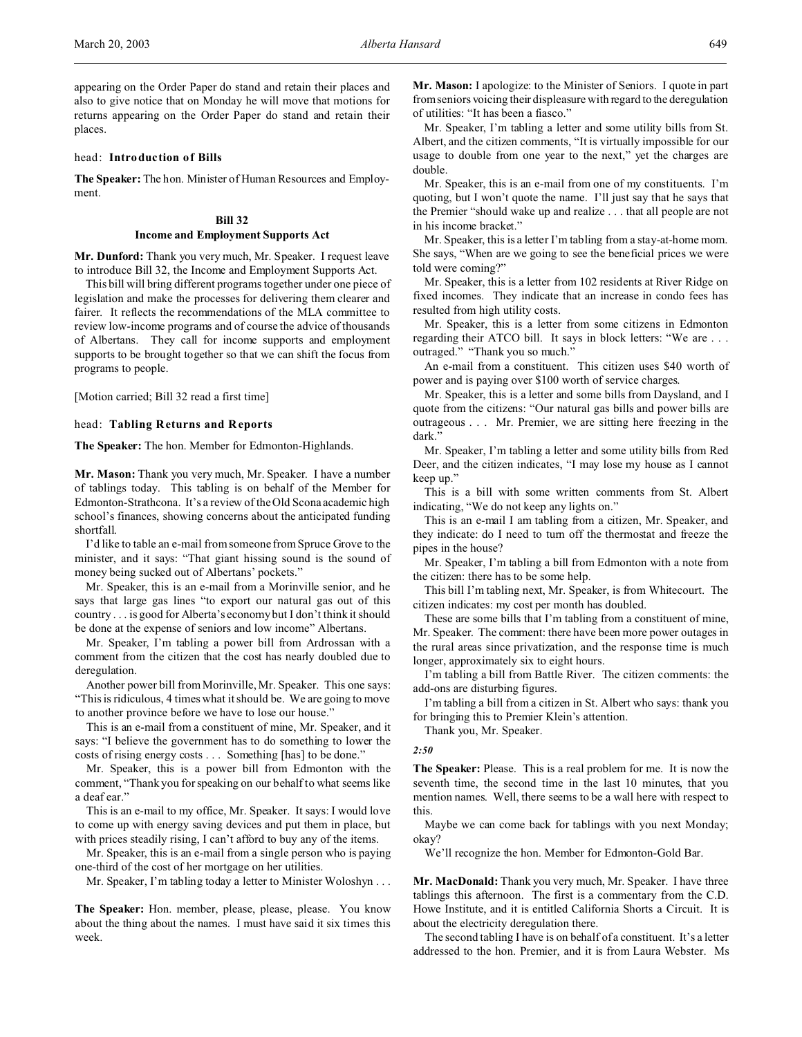appearing on the Order Paper do stand and retain their places and also to give notice that on Monday he will move that motions for returns appearing on the Order Paper do stand and retain their places.

#### head: **Introduction of Bills**

**The Speaker:** The hon. Minister of Human Resources and Employment.

### **Bill 32 Income and Employment Supports Act**

**Mr. Dunford:** Thank you very much, Mr. Speaker. I request leave to introduce Bill 32, the Income and Employment Supports Act.

This bill will bring different programs together under one piece of legislation and make the processes for delivering them clearer and fairer. It reflects the recommendations of the MLA committee to review low-income programs and of course the advice of thousands of Albertans. They call for income supports and employment supports to be brought together so that we can shift the focus from programs to people.

[Motion carried; Bill 32 read a first time]

#### head: **Tabling Returns and Reports**

**The Speaker:** The hon. Member for Edmonton-Highlands.

**Mr. Mason:** Thank you very much, Mr. Speaker. I have a number of tablings today. This tabling is on behalf of the Member for Edmonton-Strathcona. It's a review of the Old Scona academic high school's finances, showing concerns about the anticipated funding shortfall.

I'd like to table an e-mail from someone from Spruce Grove to the minister, and it says: "That giant hissing sound is the sound of money being sucked out of Albertans' pockets."

Mr. Speaker, this is an e-mail from a Morinville senior, and he says that large gas lines "to export our natural gas out of this country . . . is good for Alberta's economy but I don't think it should be done at the expense of seniors and low income" Albertans.

Mr. Speaker, I'm tabling a power bill from Ardrossan with a comment from the citizen that the cost has nearly doubled due to deregulation.

Another power bill from Morinville, Mr. Speaker. This one says: "This is ridiculous, 4 times what it should be. We are going to move to another province before we have to lose our house."

This is an e-mail from a constituent of mine, Mr. Speaker, and it says: "I believe the government has to do something to lower the costs of rising energy costs . . . Something [has] to be done."

Mr. Speaker, this is a power bill from Edmonton with the comment, "Thank you for speaking on our behalf to what seems like a deaf ear."

This is an e-mail to my office, Mr. Speaker. It says: I would love to come up with energy saving devices and put them in place, but with prices steadily rising, I can't afford to buy any of the items.

Mr. Speaker, this is an e-mail from a single person who is paying one-third of the cost of her mortgage on her utilities.

Mr. Speaker, I'm tabling today a letter to Minister Woloshyn . . .

**The Speaker:** Hon. member, please, please, please. You know about the thing about the names. I must have said it six times this week.

**Mr. Mason:** I apologize: to the Minister of Seniors. I quote in part from seniors voicing their displeasure with regard to the deregulation of utilities: "It has been a fiasco."

Mr. Speaker, I'm tabling a letter and some utility bills from St. Albert, and the citizen comments, "It is virtually impossible for our usage to double from one year to the next," yet the charges are double.

Mr. Speaker, this is an e-mail from one of my constituents. I'm quoting, but I won't quote the name. I'll just say that he says that the Premier "should wake up and realize . . . that all people are not in his income bracket."

Mr. Speaker, this is a letter I'm tabling from a stay-at-home mom. She says, "When are we going to see the beneficial prices we were told were coming?"

Mr. Speaker, this is a letter from 102 residents at River Ridge on fixed incomes. They indicate that an increase in condo fees has resulted from high utility costs.

Mr. Speaker, this is a letter from some citizens in Edmonton regarding their ATCO bill. It says in block letters: "We are . . . outraged." "Thank you so much."

An e-mail from a constituent. This citizen uses \$40 worth of power and is paying over \$100 worth of service charges.

Mr. Speaker, this is a letter and some bills from Daysland, and I quote from the citizens: "Our natural gas bills and power bills are outrageous . . . Mr. Premier, we are sitting here freezing in the dark."

Mr. Speaker, I'm tabling a letter and some utility bills from Red Deer, and the citizen indicates, "I may lose my house as I cannot keep up."

This is a bill with some written comments from St. Albert indicating, "We do not keep any lights on."

This is an e-mail I am tabling from a citizen, Mr. Speaker, and they indicate: do I need to turn off the thermostat and freeze the pipes in the house?

Mr. Speaker, I'm tabling a bill from Edmonton with a note from the citizen: there has to be some help.

This bill I'm tabling next, Mr. Speaker, is from Whitecourt. The citizen indicates: my cost per month has doubled.

These are some bills that I'm tabling from a constituent of mine, Mr. Speaker. The comment: there have been more power outages in the rural areas since privatization, and the response time is much longer, approximately six to eight hours.

I'm tabling a bill from Battle River. The citizen comments: the add-ons are disturbing figures.

I'm tabling a bill from a citizen in St. Albert who says: thank you for bringing this to Premier Klein's attention.

Thank you, Mr. Speaker.

#### *2:50*

**The Speaker:** Please. This is a real problem for me. It is now the seventh time, the second time in the last 10 minutes, that you mention names. Well, there seems to be a wall here with respect to this.

Maybe we can come back for tablings with you next Monday; okay?

We'll recognize the hon. Member for Edmonton-Gold Bar.

**Mr. MacDonald:** Thank you very much, Mr. Speaker. I have three tablings this afternoon. The first is a commentary from the C.D. Howe Institute, and it is entitled California Shorts a Circuit. It is about the electricity deregulation there.

The second tabling I have is on behalf of a constituent. It's a letter addressed to the hon. Premier, and it is from Laura Webster. Ms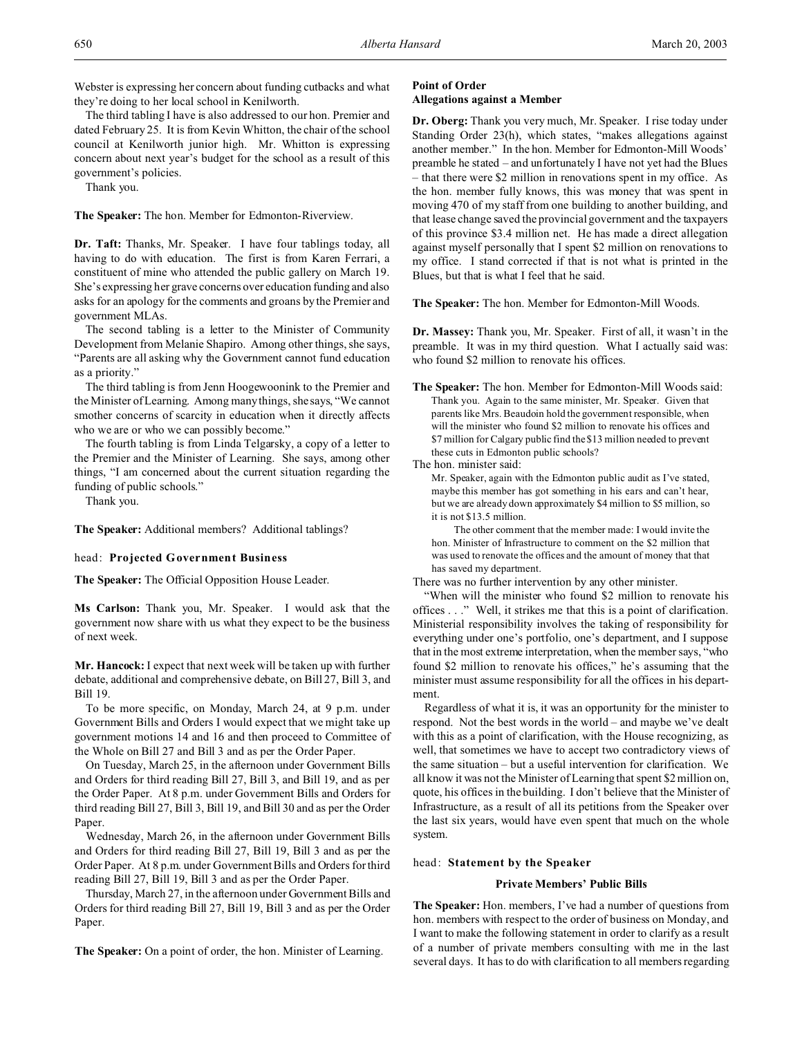Webster is expressing her concern about funding cutbacks and what they're doing to her local school in Kenilworth.

The third tabling I have is also addressed to our hon. Premier and dated February 25. It is from Kevin Whitton, the chair of the school council at Kenilworth junior high. Mr. Whitton is expressing concern about next year's budget for the school as a result of this government's policies.

Thank you.

**The Speaker:** The hon. Member for Edmonton-Riverview.

**Dr. Taft:** Thanks, Mr. Speaker. I have four tablings today, all having to do with education. The first is from Karen Ferrari, a constituent of mine who attended the public gallery on March 19. She's expressing her grave concerns over education funding and also asks for an apology for the comments and groans by the Premier and government MLAs.

The second tabling is a letter to the Minister of Community Development from Melanie Shapiro. Among other things, she says, "Parents are all asking why the Government cannot fund education as a priority."

The third tabling is from Jenn Hoogewoonink to the Premier and the Minister of Learning. Among many things, she says, "We cannot smother concerns of scarcity in education when it directly affects who we are or who we can possibly become."

The fourth tabling is from Linda Telgarsky, a copy of a letter to the Premier and the Minister of Learning. She says, among other things, "I am concerned about the current situation regarding the funding of public schools."

Thank you.

**The Speaker:** Additional members? Additional tablings?

#### head: **Projected Government Business**

**The Speaker:** The Official Opposition House Leader.

**Ms Carlson:** Thank you, Mr. Speaker. I would ask that the government now share with us what they expect to be the business of next week.

**Mr. Hancock:** I expect that next week will be taken up with further debate, additional and comprehensive debate, on Bill 27, Bill 3, and Bill 19.

To be more specific, on Monday, March 24, at 9 p.m. under Government Bills and Orders I would expect that we might take up government motions 14 and 16 and then proceed to Committee of the Whole on Bill 27 and Bill 3 and as per the Order Paper.

On Tuesday, March 25, in the afternoon under Government Bills and Orders for third reading Bill 27, Bill 3, and Bill 19, and as per the Order Paper. At 8 p.m. under Government Bills and Orders for third reading Bill 27, Bill 3, Bill 19, and Bill 30 and as per the Order Paper.

Wednesday, March 26, in the afternoon under Government Bills and Orders for third reading Bill 27, Bill 19, Bill 3 and as per the Order Paper. At 8 p.m. under Government Bills and Orders for third reading Bill 27, Bill 19, Bill 3 and as per the Order Paper.

Thursday, March 27, in the afternoon under Government Bills and Orders for third reading Bill 27, Bill 19, Bill 3 and as per the Order Paper.

**The Speaker:** On a point of order, the hon. Minister of Learning.

## **Point of Order Allegations against a Member**

**Dr. Oberg:** Thank you very much, Mr. Speaker. I rise today under Standing Order 23(h), which states, "makes allegations against another member." In the hon. Member for Edmonton-Mill Woods' preamble he stated – and unfortunately I have not yet had the Blues – that there were \$2 million in renovations spent in my office. As the hon. member fully knows, this was money that was spent in moving 470 of my staff from one building to another building, and that lease change saved the provincial government and the taxpayers of this province \$3.4 million net. He has made a direct allegation against myself personally that I spent \$2 million on renovations to my office. I stand corrected if that is not what is printed in the Blues, but that is what I feel that he said.

**The Speaker:** The hon. Member for Edmonton-Mill Woods.

**Dr. Massey:** Thank you, Mr. Speaker. First of all, it wasn't in the preamble. It was in my third question. What I actually said was: who found \$2 million to renovate his offices.

**The Speaker:** The hon. Member for Edmonton-Mill Woods said: Thank you. Again to the same minister, Mr. Speaker. Given that parents like Mrs. Beaudoin hold the government responsible, when will the minister who found \$2 million to renovate his offices and \$7 million for Calgary public find the \$13 million needed to prevent these cuts in Edmonton public schools?

## The hon. minister said:

Mr. Speaker, again with the Edmonton public audit as I've stated, maybe this member has got something in his ears and can't hear, but we are already down approximately \$4 million to \$5 million, so it is not \$13.5 million.

The other comment that the member made: I would invite the hon. Minister of Infrastructure to comment on the \$2 million that was used to renovate the offices and the amount of money that that has saved my department.

There was no further intervention by any other minister.

"When will the minister who found \$2 million to renovate his offices . . ." Well, it strikes me that this is a point of clarification. Ministerial responsibility involves the taking of responsibility for everything under one's portfolio, one's department, and I suppose that in the most extreme interpretation, when the member says, "who found \$2 million to renovate his offices," he's assuming that the minister must assume responsibility for all the offices in his department.

Regardless of what it is, it was an opportunity for the minister to respond. Not the best words in the world – and maybe we've dealt with this as a point of clarification, with the House recognizing, as well, that sometimes we have to accept two contradictory views of the same situation – but a useful intervention for clarification. We all know it was not the Minister of Learning that spent \$2 million on, quote, his offices in the building. I don't believe that the Minister of Infrastructure, as a result of all its petitions from the Speaker over the last six years, would have even spent that much on the whole system.

#### head: **Statement by the Speaker**

#### **Private Members' Public Bills**

**The Speaker:** Hon. members, I've had a number of questions from hon. members with respect to the order of business on Monday, and I want to make the following statement in order to clarify as a result of a number of private members consulting with me in the last several days. It has to do with clarification to all members regarding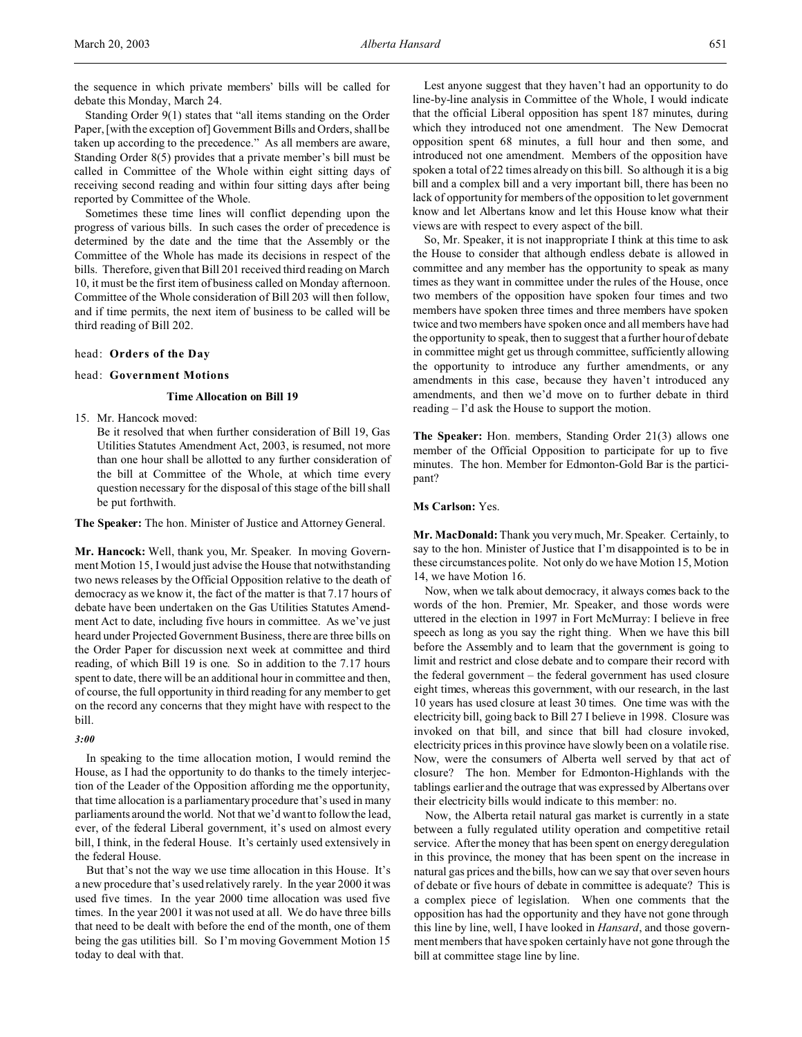the sequence in which private members' bills will be called for debate this Monday, March 24.

Standing Order 9(1) states that "all items standing on the Order Paper, [with the exception of] Government Bills and Orders, shall be taken up according to the precedence." As all members are aware, Standing Order 8(5) provides that a private member's bill must be called in Committee of the Whole within eight sitting days of receiving second reading and within four sitting days after being reported by Committee of the Whole.

Sometimes these time lines will conflict depending upon the progress of various bills. In such cases the order of precedence is determined by the date and the time that the Assembly or the Committee of the Whole has made its decisions in respect of the bills. Therefore, given that Bill 201 received third reading on March 10, it must be the first item of business called on Monday afternoon. Committee of the Whole consideration of Bill 203 will then follow, and if time permits, the next item of business to be called will be third reading of Bill 202.

### head: **Orders of the Day**

#### head: **Government Motions**

### **Time Allocation on Bill 19**

15. Mr. Hancock moved:

Be it resolved that when further consideration of Bill 19, Gas Utilities Statutes Amendment Act, 2003, is resumed, not more than one hour shall be allotted to any further consideration of the bill at Committee of the Whole, at which time every question necessary for the disposal of this stage of the bill shall be put forthwith.

**The Speaker:** The hon. Minister of Justice and Attorney General.

**Mr. Hancock:** Well, thank you, Mr. Speaker. In moving Government Motion 15, I would just advise the House that notwithstanding two news releases by the Official Opposition relative to the death of democracy as we know it, the fact of the matter is that 7.17 hours of debate have been undertaken on the Gas Utilities Statutes Amendment Act to date, including five hours in committee. As we've just heard under Projected Government Business, there are three bills on the Order Paper for discussion next week at committee and third reading, of which Bill 19 is one. So in addition to the 7.17 hours spent to date, there will be an additional hour in committee and then, of course, the full opportunity in third reading for any member to get on the record any concerns that they might have with respect to the bill.

#### *3:00*

In speaking to the time allocation motion, I would remind the House, as I had the opportunity to do thanks to the timely interjection of the Leader of the Opposition affording me the opportunity, that time allocation is a parliamentary procedure that's used in many parliaments around the world. Not that we'd want to follow the lead, ever, of the federal Liberal government, it's used on almost every bill, I think, in the federal House. It's certainly used extensively in the federal House.

But that's not the way we use time allocation in this House. It's a new procedure that's used relatively rarely. In the year 2000 it was used five times. In the year 2000 time allocation was used five times. In the year 2001 it was not used at all. We do have three bills that need to be dealt with before the end of the month, one of them being the gas utilities bill. So I'm moving Government Motion 15 today to deal with that.

Lest anyone suggest that they haven't had an opportunity to do line-by-line analysis in Committee of the Whole, I would indicate that the official Liberal opposition has spent 187 minutes, during which they introduced not one amendment. The New Democrat opposition spent 68 minutes, a full hour and then some, and introduced not one amendment. Members of the opposition have spoken a total of 22 times already on this bill. So although it is a big bill and a complex bill and a very important bill, there has been no lack of opportunity for members of the opposition to let government know and let Albertans know and let this House know what their views are with respect to every aspect of the bill.

So, Mr. Speaker, it is not inappropriate I think at this time to ask the House to consider that although endless debate is allowed in committee and any member has the opportunity to speak as many times as they want in committee under the rules of the House, once two members of the opposition have spoken four times and two members have spoken three times and three members have spoken twice and two members have spoken once and all members have had the opportunity to speak, then to suggest that a further hour of debate in committee might get us through committee, sufficiently allowing the opportunity to introduce any further amendments, or any amendments in this case, because they haven't introduced any amendments, and then we'd move on to further debate in third reading – I'd ask the House to support the motion.

**The Speaker:** Hon. members, Standing Order 21(3) allows one member of the Official Opposition to participate for up to five minutes. The hon. Member for Edmonton-Gold Bar is the participant?

#### **Ms Carlson:** Yes.

**Mr. MacDonald:** Thank you very much, Mr. Speaker. Certainly, to say to the hon. Minister of Justice that I'm disappointed is to be in these circumstances polite. Not only do we have Motion 15, Motion 14, we have Motion 16.

Now, when we talk about democracy, it always comes back to the words of the hon. Premier, Mr. Speaker, and those words were uttered in the election in 1997 in Fort McMurray: I believe in free speech as long as you say the right thing. When we have this bill before the Assembly and to learn that the government is going to limit and restrict and close debate and to compare their record with the federal government – the federal government has used closure eight times, whereas this government, with our research, in the last 10 years has used closure at least 30 times. One time was with the electricity bill, going back to Bill 27 I believe in 1998. Closure was invoked on that bill, and since that bill had closure invoked, electricity prices in this province have slowly been on a volatile rise. Now, were the consumers of Alberta well served by that act of closure? The hon. Member for Edmonton-Highlands with the tablings earlier and the outrage that was expressed by Albertans over their electricity bills would indicate to this member: no.

Now, the Alberta retail natural gas market is currently in a state between a fully regulated utility operation and competitive retail service. After the money that has been spent on energy deregulation in this province, the money that has been spent on the increase in natural gas prices and the bills, how can we say that over seven hours of debate or five hours of debate in committee is adequate? This is a complex piece of legislation. When one comments that the opposition has had the opportunity and they have not gone through this line by line, well, I have looked in *Hansard*, and those government members that have spoken certainly have not gone through the bill at committee stage line by line.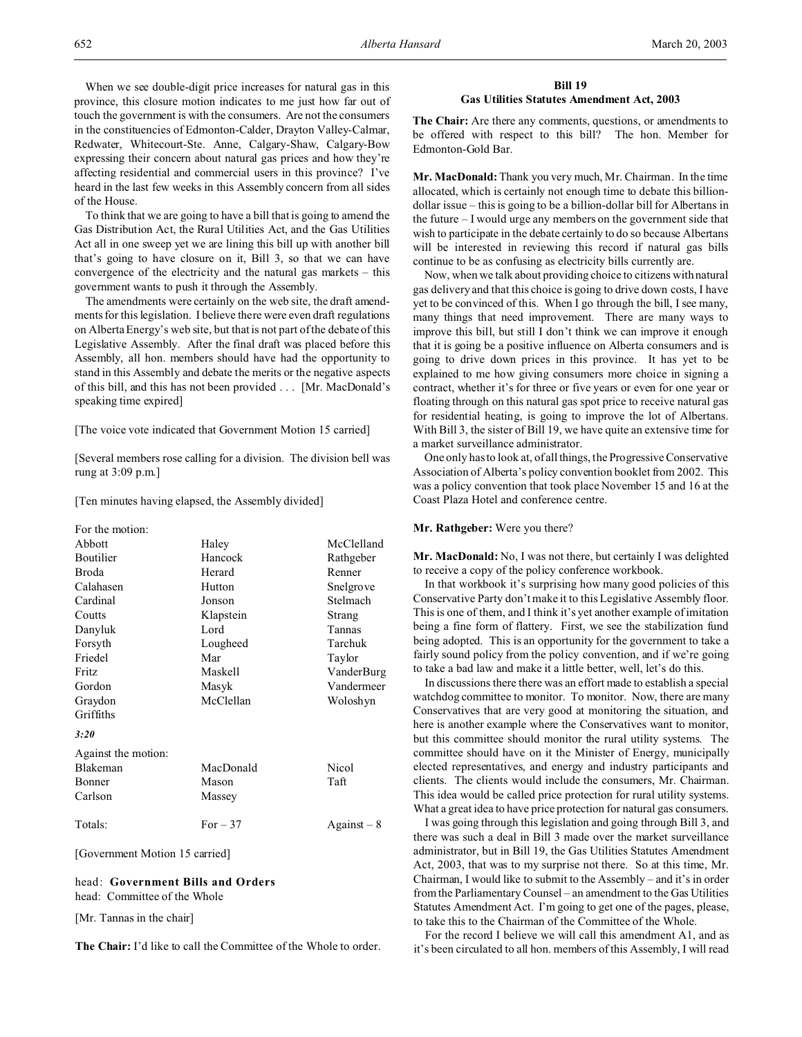When we see double-digit price increases for natural gas in this province, this closure motion indicates to me just how far out of touch the government is with the consumers. Are not the consumers in the constituencies of Edmonton-Calder, Drayton Valley-Calmar, Redwater, Whitecourt-Ste. Anne, Calgary-Shaw, Calgary-Bow expressing their concern about natural gas prices and how they're affecting residential and commercial users in this province? I've heard in the last few weeks in this Assembly concern from all sides of the House.

To think that we are going to have a bill that is going to amend the Gas Distribution Act, the Rural Utilities Act, and the Gas Utilities Act all in one sweep yet we are lining this bill up with another bill that's going to have closure on it, Bill 3, so that we can have convergence of the electricity and the natural gas markets – this government wants to push it through the Assembly.

The amendments were certainly on the web site, the draft amendments for this legislation. I believe there were even draft regulations on Alberta Energy's web site, but that is not part of the debate of this Legislative Assembly. After the final draft was placed before this Assembly, all hon. members should have had the opportunity to stand in this Assembly and debate the merits or the negative aspects of this bill, and this has not been provided . . . [Mr. MacDonald's speaking time expired]

[The voice vote indicated that Government Motion 15 carried]

[Several members rose calling for a division. The division bell was rung at 3:09 p.m.]

[Ten minutes having elapsed, the Assembly divided]

| For the motion:     |           |             |
|---------------------|-----------|-------------|
| Abbott              | Haley     | McClelland  |
| <b>Boutilier</b>    | Hancock   | Rathgeber   |
| Broda               | Herard    | Renner      |
| Calahasen           | Hutton    | Snelgrove   |
| Cardinal            | Jonson    | Stelmach    |
| Coutts              | Klapstein | Strang      |
| Danyluk             | Lord      | Tannas      |
| Forsyth             | Lougheed  | Tarchuk     |
| Friedel             | Mar       | Taylor      |
| <b>Fritz</b>        | Maskell   | VanderBurg  |
| Gordon              | Masyk     | Vandermeer  |
| Graydon             | McClellan | Woloshyn    |
| Griffiths           |           |             |
| 3:20                |           |             |
| Against the motion: |           |             |
| Blakeman            | MacDonald | Nicol       |
| Bonner              | Mason     | Taft        |
| Carlson             | Massey    |             |
| Totals:             | $For-37$  | $Against-8$ |

[Government Motion 15 carried]

### head: **Government Bills and Orders** head: Committee of the Whole

[Mr. Tannas in the chair]

**The Chair:** I'd like to call the Committee of the Whole to order.

## **Bill 19 Gas Utilities Statutes Amendment Act, 2003**

**The Chair:** Are there any comments, questions, or amendments to be offered with respect to this bill? The hon. Member for Edmonton-Gold Bar.

**Mr. MacDonald:** Thank you very much, Mr. Chairman. In the time allocated, which is certainly not enough time to debate this billiondollar issue – this is going to be a billion-dollar bill for Albertans in the future – I would urge any members on the government side that wish to participate in the debate certainly to do so because Albertans will be interested in reviewing this record if natural gas bills continue to be as confusing as electricity bills currently are.

Now, when we talk about providing choice to citizens with natural gas delivery and that this choice is going to drive down costs, I have yet to be convinced of this. When I go through the bill, I see many, many things that need improvement. There are many ways to improve this bill, but still I don't think we can improve it enough that it is going be a positive influence on Alberta consumers and is going to drive down prices in this province. It has yet to be explained to me how giving consumers more choice in signing a contract, whether it's for three or five years or even for one year or floating through on this natural gas spot price to receive natural gas for residential heating, is going to improve the lot of Albertans. With Bill 3, the sister of Bill 19, we have quite an extensive time for a market surveillance administrator.

One only has to look at, of all things, the Progressive Conservative Association of Alberta's policy convention booklet from 2002. This was a policy convention that took place November 15 and 16 at the Coast Plaza Hotel and conference centre.

### **Mr. Rathgeber:** Were you there?

**Mr. MacDonald:** No, I was not there, but certainly I was delighted to receive a copy of the policy conference workbook.

In that workbook it's surprising how many good policies of this Conservative Party don't make it to this Legislative Assembly floor. This is one of them, and I think it's yet another example of imitation being a fine form of flattery. First, we see the stabilization fund being adopted. This is an opportunity for the government to take a fairly sound policy from the policy convention, and if we're going to take a bad law and make it a little better, well, let's do this.

In discussions there there was an effort made to establish a special watchdog committee to monitor. To monitor. Now, there are many Conservatives that are very good at monitoring the situation, and here is another example where the Conservatives want to monitor, but this committee should monitor the rural utility systems. The committee should have on it the Minister of Energy, municipally elected representatives, and energy and industry participants and clients. The clients would include the consumers, Mr. Chairman. This idea would be called price protection for rural utility systems. What a great idea to have price protection for natural gas consumers.

I was going through this legislation and going through Bill 3, and there was such a deal in Bill 3 made over the market surveillance administrator, but in Bill 19, the Gas Utilities Statutes Amendment Act, 2003, that was to my surprise not there. So at this time, Mr. Chairman, I would like to submit to the Assembly – and it's in order from the Parliamentary Counsel – an amendment to the Gas Utilities Statutes Amendment Act. I'm going to get one of the pages, please, to take this to the Chairman of the Committee of the Whole.

For the record I believe we will call this amendment A1, and as it's been circulated to all hon. members of this Assembly, I will read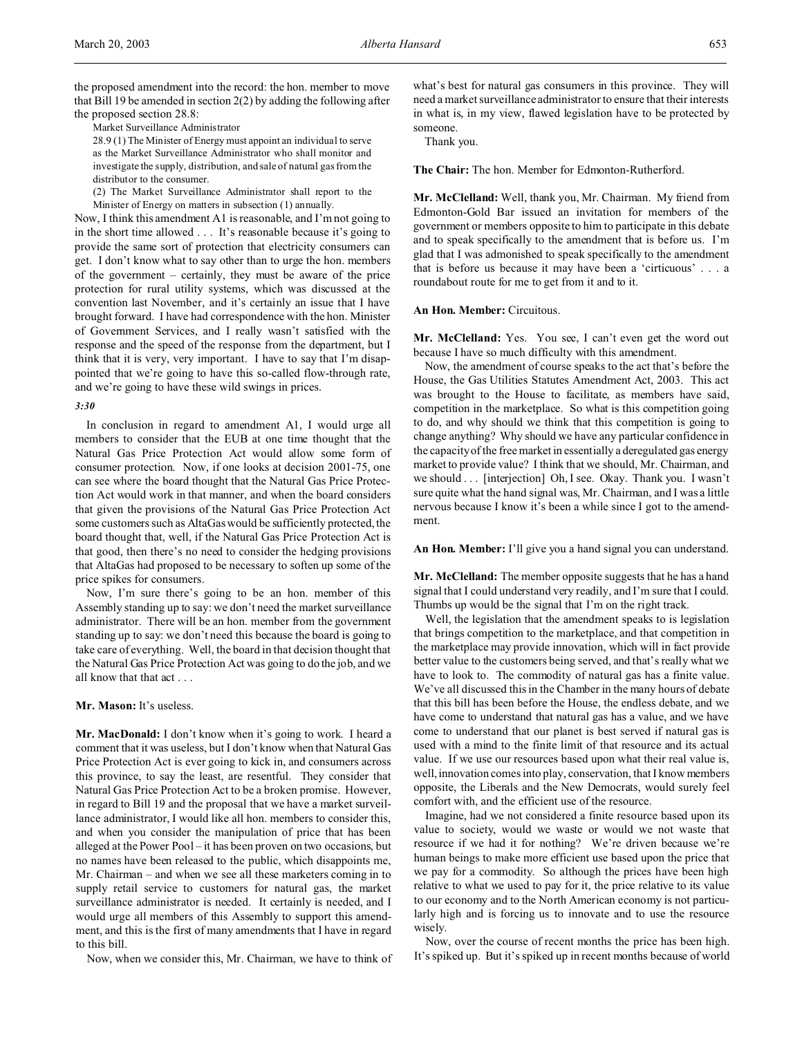the proposed amendment into the record: the hon. member to move that Bill 19 be amended in section 2(2) by adding the following after the proposed section 28.8:

Market Surveillance Administrator

28.9 (1) The Minister of Energy must appoint an individual to serve as the Market Surveillance Administrator who shall monitor and investigate the supply, distribution, and sale of natural gas from the distributor to the consumer.

(2) The Market Surveillance Administrator shall report to the Minister of Energy on matters in subsection (1) annually.

Now, I think this amendment A1 is reasonable, and I'm not going to in the short time allowed . . . It's reasonable because it's going to provide the same sort of protection that electricity consumers can get. I don't know what to say other than to urge the hon. members of the government – certainly, they must be aware of the price protection for rural utility systems, which was discussed at the convention last November, and it's certainly an issue that I have brought forward. I have had correspondence with the hon. Minister of Government Services, and I really wasn't satisfied with the response and the speed of the response from the department, but I think that it is very, very important. I have to say that I'm disappointed that we're going to have this so-called flow-through rate, and we're going to have these wild swings in prices.

#### *3:30*

In conclusion in regard to amendment A1, I would urge all members to consider that the EUB at one time thought that the Natural Gas Price Protection Act would allow some form of consumer protection. Now, if one looks at decision 2001-75, one can see where the board thought that the Natural Gas Price Protection Act would work in that manner, and when the board considers that given the provisions of the Natural Gas Price Protection Act some customers such as AltaGas would be sufficiently protected, the board thought that, well, if the Natural Gas Price Protection Act is that good, then there's no need to consider the hedging provisions that AltaGas had proposed to be necessary to soften up some of the price spikes for consumers.

Now, I'm sure there's going to be an hon. member of this Assembly standing up to say: we don't need the market surveillance administrator. There will be an hon. member from the government standing up to say: we don't need this because the board is going to take care of everything. Well, the board in that decision thought that the Natural Gas Price Protection Act was going to do the job, and we all know that that act . . .

# **Mr. Mason:** It's useless.

**Mr. MacDonald:** I don't know when it's going to work. I heard a comment that it was useless, but I don't know when that Natural Gas Price Protection Act is ever going to kick in, and consumers across this province, to say the least, are resentful. They consider that Natural Gas Price Protection Act to be a broken promise. However, in regard to Bill 19 and the proposal that we have a market surveillance administrator, I would like all hon. members to consider this, and when you consider the manipulation of price that has been alleged at the Power Pool – it has been proven on two occasions, but no names have been released to the public, which disappoints me, Mr. Chairman – and when we see all these marketers coming in to supply retail service to customers for natural gas, the market surveillance administrator is needed. It certainly is needed, and I would urge all members of this Assembly to support this amendment, and this is the first of many amendments that I have in regard to this bill.

Now, when we consider this, Mr. Chairman, we have to think of

what's best for natural gas consumers in this province. They will need a market surveillance administrator to ensure that their interests in what is, in my view, flawed legislation have to be protected by someone.

Thank you.

**The Chair:** The hon. Member for Edmonton-Rutherford.

**Mr. McClelland:** Well, thank you, Mr. Chairman. My friend from Edmonton-Gold Bar issued an invitation for members of the government or members opposite to him to participate in this debate and to speak specifically to the amendment that is before us. I'm glad that I was admonished to speak specifically to the amendment that is before us because it may have been a 'cirticuous' . . . a roundabout route for me to get from it and to it.

#### **An Hon. Member:** Circuitous.

Mr. McClelland: Yes. You see, I can't even get the word out because I have so much difficulty with this amendment.

Now, the amendment of course speaks to the act that's before the House, the Gas Utilities Statutes Amendment Act, 2003. This act was brought to the House to facilitate, as members have said, competition in the marketplace. So what is this competition going to do, and why should we think that this competition is going to change anything? Why should we have any particular confidence in the capacity of the free market in essentially a deregulated gas energy market to provide value? I think that we should, Mr. Chairman, and we should . . . [interjection] Oh, I see. Okay. Thank you. I wasn't sure quite what the hand signal was, Mr. Chairman, and I was a little nervous because I know it's been a while since I got to the amendment.

**An Hon. Member:** I'll give you a hand signal you can understand.

**Mr. McClelland:** The member opposite suggests that he has a hand signal that I could understand very readily, and I'm sure that I could. Thumbs up would be the signal that I'm on the right track.

Well, the legislation that the amendment speaks to is legislation that brings competition to the marketplace, and that competition in the marketplace may provide innovation, which will in fact provide better value to the customers being served, and that's really what we have to look to. The commodity of natural gas has a finite value. We've all discussed this in the Chamber in the many hours of debate that this bill has been before the House, the endless debate, and we have come to understand that natural gas has a value, and we have come to understand that our planet is best served if natural gas is used with a mind to the finite limit of that resource and its actual value. If we use our resources based upon what their real value is, well, innovation comes into play, conservation, that I know members opposite, the Liberals and the New Democrats, would surely feel comfort with, and the efficient use of the resource.

Imagine, had we not considered a finite resource based upon its value to society, would we waste or would we not waste that resource if we had it for nothing? We're driven because we're human beings to make more efficient use based upon the price that we pay for a commodity. So although the prices have been high relative to what we used to pay for it, the price relative to its value to our economy and to the North American economy is not particularly high and is forcing us to innovate and to use the resource wisely.

Now, over the course of recent months the price has been high. It's spiked up. But it's spiked up in recent months because of world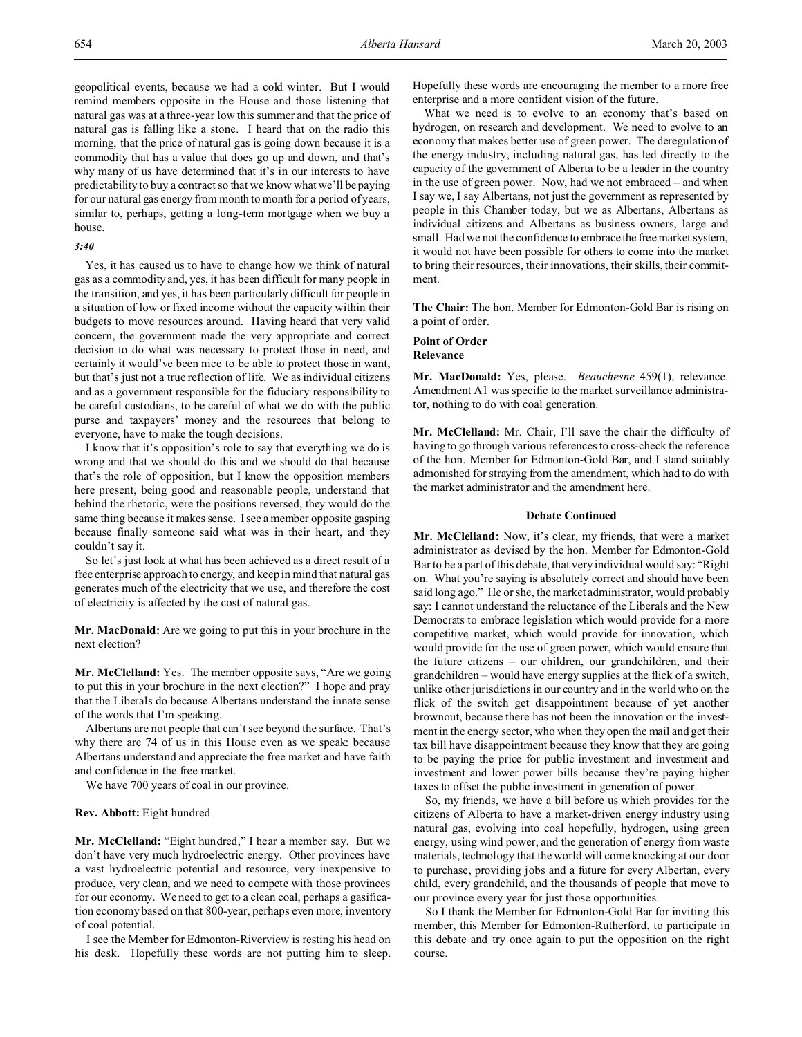geopolitical events, because we had a cold winter. But I would remind members opposite in the House and those listening that natural gas was at a three-year low this summer and that the price of natural gas is falling like a stone. I heard that on the radio this morning, that the price of natural gas is going down because it is a commodity that has a value that does go up and down, and that's why many of us have determined that it's in our interests to have predictability to buy a contract so that we know what we'll be paying for our natural gas energy from month to month for a period of years, similar to, perhaps, getting a long-term mortgage when we buy a house.

### *3:40*

Yes, it has caused us to have to change how we think of natural gas as a commodity and, yes, it has been difficult for many people in the transition, and yes, it has been particularly difficult for people in a situation of low or fixed income without the capacity within their budgets to move resources around. Having heard that very valid concern, the government made the very appropriate and correct decision to do what was necessary to protect those in need, and certainly it would've been nice to be able to protect those in want, but that's just not a true reflection of life. We as individual citizens and as a government responsible for the fiduciary responsibility to be careful custodians, to be careful of what we do with the public purse and taxpayers' money and the resources that belong to everyone, have to make the tough decisions.

I know that it's opposition's role to say that everything we do is wrong and that we should do this and we should do that because that's the role of opposition, but I know the opposition members here present, being good and reasonable people, understand that behind the rhetoric, were the positions reversed, they would do the same thing because it makes sense. I see a member opposite gasping because finally someone said what was in their heart, and they couldn't say it.

So let's just look at what has been achieved as a direct result of a free enterprise approach to energy, and keep in mind that natural gas generates much of the electricity that we use, and therefore the cost of electricity is affected by the cost of natural gas.

**Mr. MacDonald:** Are we going to put this in your brochure in the next election?

**Mr. McClelland:** Yes. The member opposite says, "Are we going to put this in your brochure in the next election?" I hope and pray that the Liberals do because Albertans understand the innate sense of the words that I'm speaking.

Albertans are not people that can't see beyond the surface. That's why there are 74 of us in this House even as we speak: because Albertans understand and appreciate the free market and have faith and confidence in the free market.

We have 700 years of coal in our province.

#### **Rev. Abbott:** Eight hundred.

**Mr. McClelland:** "Eight hundred," I hear a member say. But we don't have very much hydroelectric energy. Other provinces have a vast hydroelectric potential and resource, very inexpensive to produce, very clean, and we need to compete with those provinces for our economy. We need to get to a clean coal, perhaps a gasification economy based on that 800-year, perhaps even more, inventory of coal potential.

I see the Member for Edmonton-Riverview is resting his head on his desk. Hopefully these words are not putting him to sleep. Hopefully these words are encouraging the member to a more free enterprise and a more confident vision of the future.

What we need is to evolve to an economy that's based on hydrogen, on research and development. We need to evolve to an economy that makes better use of green power. The deregulation of the energy industry, including natural gas, has led directly to the capacity of the government of Alberta to be a leader in the country in the use of green power. Now, had we not embraced – and when I say we, I say Albertans, not just the government as represented by people in this Chamber today, but we as Albertans, Albertans as individual citizens and Albertans as business owners, large and small. Had we not the confidence to embrace the free market system, it would not have been possible for others to come into the market to bring their resources, their innovations, their skills, their commitment.

**The Chair:** The hon. Member for Edmonton-Gold Bar is rising on a point of order.

#### **Point of Order Relevance**

**Mr. MacDonald:** Yes, please. *Beauchesne* 459(1), relevance. Amendment A1 was specific to the market surveillance administrator, nothing to do with coal generation.

**Mr. McClelland:** Mr. Chair, I'll save the chair the difficulty of having to go through various references to cross-check the reference of the hon. Member for Edmonton-Gold Bar, and I stand suitably admonished for straying from the amendment, which had to do with the market administrator and the amendment here.

### **Debate Continued**

**Mr. McClelland:** Now, it's clear, my friends, that were a market administrator as devised by the hon. Member for Edmonton-Gold Bar to be a part of this debate, that very individual would say: "Right on. What you're saying is absolutely correct and should have been said long ago." He or she, the market administrator, would probably say: I cannot understand the reluctance of the Liberals and the New Democrats to embrace legislation which would provide for a more competitive market, which would provide for innovation, which would provide for the use of green power, which would ensure that the future citizens – our children, our grandchildren, and their grandchildren – would have energy supplies at the flick of a switch, unlike other jurisdictions in our country and in the world who on the flick of the switch get disappointment because of yet another brownout, because there has not been the innovation or the investment in the energy sector, who when they open the mail and get their tax bill have disappointment because they know that they are going to be paying the price for public investment and investment and investment and lower power bills because they're paying higher taxes to offset the public investment in generation of power.

So, my friends, we have a bill before us which provides for the citizens of Alberta to have a market-driven energy industry using natural gas, evolving into coal hopefully, hydrogen, using green energy, using wind power, and the generation of energy from waste materials, technology that the world will come knocking at our door to purchase, providing jobs and a future for every Albertan, every child, every grandchild, and the thousands of people that move to our province every year for just those opportunities.

So I thank the Member for Edmonton-Gold Bar for inviting this member, this Member for Edmonton-Rutherford, to participate in this debate and try once again to put the opposition on the right course.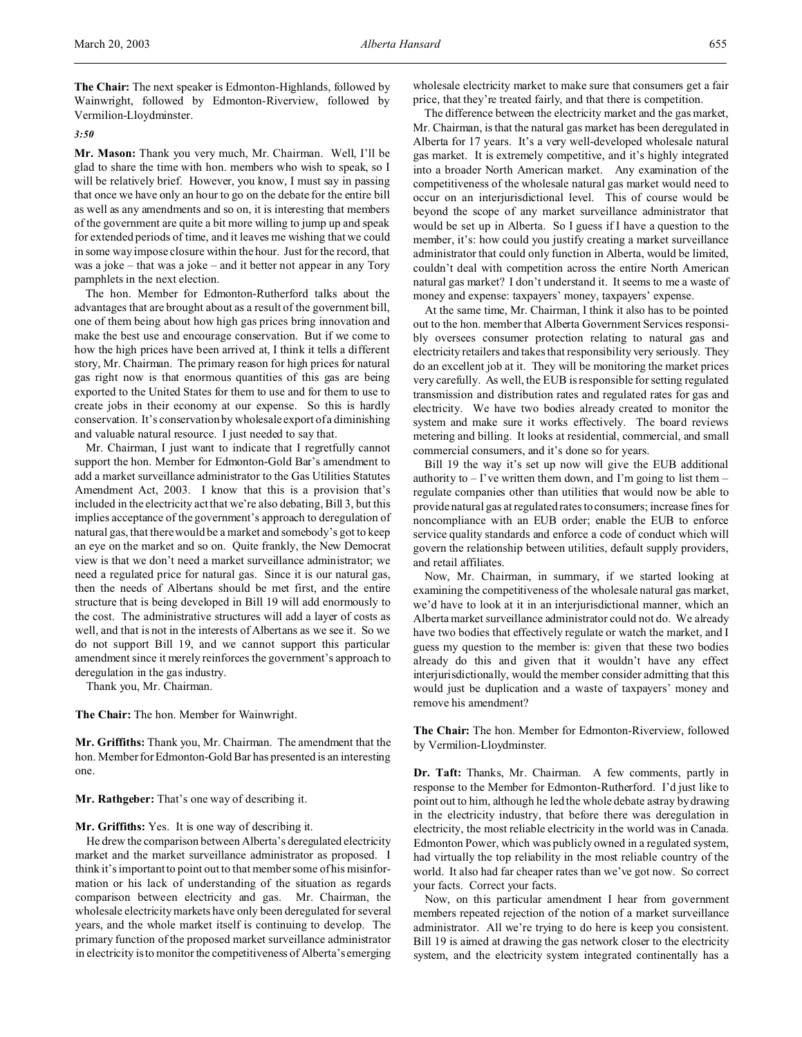**The Chair:** The next speaker is Edmonton-Highlands, followed by Wainwright, followed by Edmonton-Riverview, followed by Vermilion-Lloydminster.

*3:50*

**Mr. Mason:** Thank you very much, Mr. Chairman. Well, I'll be glad to share the time with hon. members who wish to speak, so I will be relatively brief. However, you know, I must say in passing that once we have only an hour to go on the debate for the entire bill as well as any amendments and so on, it is interesting that members of the government are quite a bit more willing to jump up and speak for extended periods of time, and it leaves me wishing that we could in some way impose closure within the hour. Just for the record, that was a joke – that was a joke – and it better not appear in any Tory pamphlets in the next election.

The hon. Member for Edmonton-Rutherford talks about the advantages that are brought about as a result of the government bill, one of them being about how high gas prices bring innovation and make the best use and encourage conservation. But if we come to how the high prices have been arrived at, I think it tells a different story, Mr. Chairman. The primary reason for high prices for natural gas right now is that enormous quantities of this gas are being exported to the United States for them to use and for them to use to create jobs in their economy at our expense. So this is hardly conservation. It's conservation by wholesale export of a diminishing and valuable natural resource. I just needed to say that.

Mr. Chairman, I just want to indicate that I regretfully cannot support the hon. Member for Edmonton-Gold Bar's amendment to add a market surveillance administrator to the Gas Utilities Statutes Amendment Act, 2003. I know that this is a provision that's included in the electricity act that we're also debating, Bill 3, but this implies acceptance of the government's approach to deregulation of natural gas, that there would be a market and somebody's got to keep an eye on the market and so on. Quite frankly, the New Democrat view is that we don't need a market surveillance administrator; we need a regulated price for natural gas. Since it is our natural gas, then the needs of Albertans should be met first, and the entire structure that is being developed in Bill 19 will add enormously to the cost. The administrative structures will add a layer of costs as well, and that is not in the interests of Albertans as we see it. So we do not support Bill 19, and we cannot support this particular amendment since it merely reinforces the government's approach to deregulation in the gas industry.

Thank you, Mr. Chairman.

**The Chair:** The hon. Member for Wainwright.

**Mr. Griffiths:** Thank you, Mr. Chairman. The amendment that the hon. Member for Edmonton-Gold Bar has presented is an interesting one.

**Mr. Rathgeber:** That's one way of describing it.

## **Mr. Griffiths:** Yes. It is one way of describing it.

He drew the comparison between Alberta's deregulated electricity market and the market surveillance administrator as proposed. I think it's important to point out to that member some of his misinformation or his lack of understanding of the situation as regards comparison between electricity and gas. Mr. Chairman, the wholesale electricity markets have only been deregulated for several years, and the whole market itself is continuing to develop. The primary function of the proposed market surveillance administrator in electricity is to monitor the competitiveness of Alberta's emerging

wholesale electricity market to make sure that consumers get a fair price, that they're treated fairly, and that there is competition.

The difference between the electricity market and the gas market, Mr. Chairman, is that the natural gas market has been deregulated in Alberta for 17 years. It's a very well-developed wholesale natural gas market. It is extremely competitive, and it's highly integrated into a broader North American market. Any examination of the competitiveness of the wholesale natural gas market would need to occur on an interjurisdictional level. This of course would be beyond the scope of any market surveillance administrator that would be set up in Alberta. So I guess if I have a question to the member, it's: how could you justify creating a market surveillance administrator that could only function in Alberta, would be limited, couldn't deal with competition across the entire North American natural gas market? I don't understand it. It seems to me a waste of money and expense: taxpayers' money, taxpayers' expense.

At the same time, Mr. Chairman, I think it also has to be pointed out to the hon. member that Alberta Government Services responsibly oversees consumer protection relating to natural gas and electricity retailers and takes that responsibility very seriously. They do an excellent job at it. They will be monitoring the market prices very carefully. As well, the EUB is responsible for setting regulated transmission and distribution rates and regulated rates for gas and electricity. We have two bodies already created to monitor the system and make sure it works effectively. The board reviews metering and billing. It looks at residential, commercial, and small commercial consumers, and it's done so for years.

Bill 19 the way it's set up now will give the EUB additional authority to  $-1$ 've written them down, and I'm going to list them  $$ regulate companies other than utilities that would now be able to provide natural gas at regulated rates to consumers; increase fines for noncompliance with an EUB order; enable the EUB to enforce service quality standards and enforce a code of conduct which will govern the relationship between utilities, default supply providers, and retail affiliates.

Now, Mr. Chairman, in summary, if we started looking at examining the competitiveness of the wholesale natural gas market, we'd have to look at it in an interjurisdictional manner, which an Alberta market surveillance administrator could not do. We already have two bodies that effectively regulate or watch the market, and I guess my question to the member is: given that these two bodies already do this and given that it wouldn't have any effect interjurisdictionally, would the member consider admitting that this would just be duplication and a waste of taxpayers' money and remove his amendment?

**The Chair:** The hon. Member for Edmonton-Riverview, followed by Vermilion-Lloydminster.

**Dr. Taft:** Thanks, Mr. Chairman. A few comments, partly in response to the Member for Edmonton-Rutherford. I'd just like to point out to him, although he led the whole debate astray by drawing in the electricity industry, that before there was deregulation in electricity, the most reliable electricity in the world was in Canada. Edmonton Power, which was publicly owned in a regulated system, had virtually the top reliability in the most reliable country of the world. It also had far cheaper rates than we've got now. So correct your facts. Correct your facts.

Now, on this particular amendment I hear from government members repeated rejection of the notion of a market surveillance administrator. All we're trying to do here is keep you consistent. Bill 19 is aimed at drawing the gas network closer to the electricity system, and the electricity system integrated continentally has a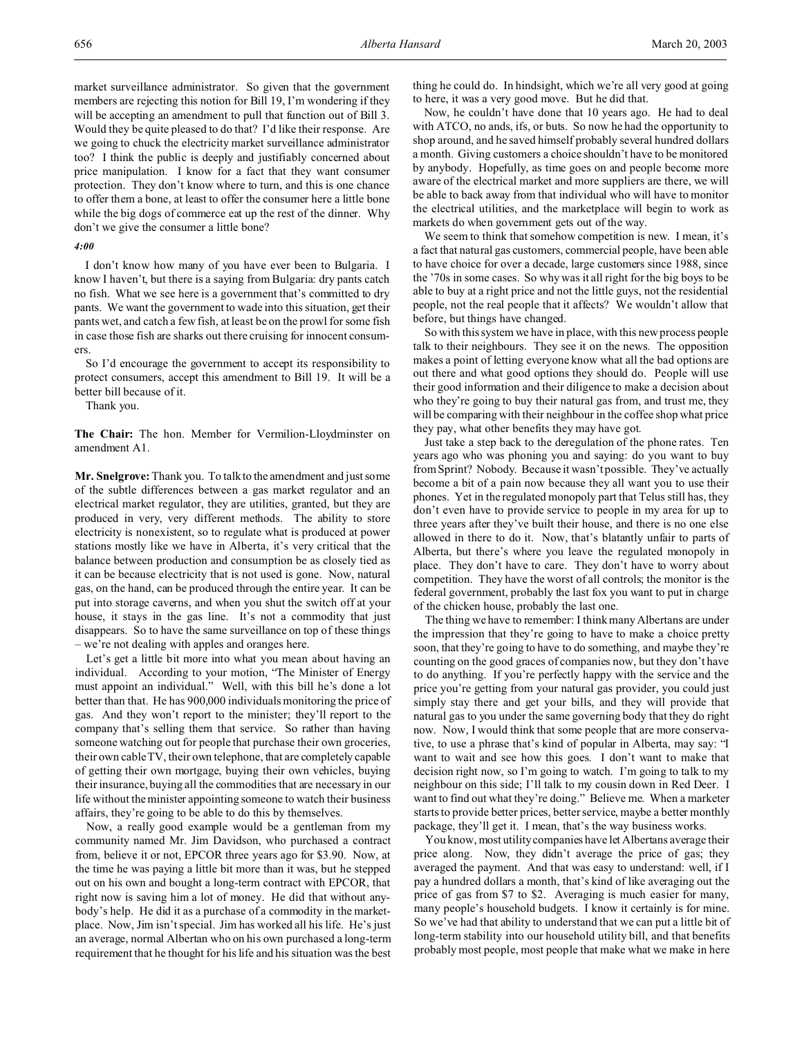market surveillance administrator. So given that the government members are rejecting this notion for Bill 19, I'm wondering if they will be accepting an amendment to pull that function out of Bill 3. Would they be quite pleased to do that? I'd like their response. Are we going to chuck the electricity market surveillance administrator too? I think the public is deeply and justifiably concerned about price manipulation. I know for a fact that they want consumer protection. They don't know where to turn, and this is one chance to offer them a bone, at least to offer the consumer here a little bone while the big dogs of commerce eat up the rest of the dinner. Why don't we give the consumer a little bone?

#### *4:00*

I don't know how many of you have ever been to Bulgaria. I know I haven't, but there is a saying from Bulgaria: dry pants catch no fish. What we see here is a government that's committed to dry pants. We want the government to wade into this situation, get their pants wet, and catch a few fish, at least be on the prowl for some fish in case those fish are sharks out there cruising for innocent consumers.

So I'd encourage the government to accept its responsibility to protect consumers, accept this amendment to Bill 19. It will be a better bill because of it.

Thank you.

**The Chair:** The hon. Member for Vermilion-Lloydminster on amendment A1.

**Mr. Snelgrove:** Thank you. To talk to the amendment and just some of the subtle differences between a gas market regulator and an electrical market regulator, they are utilities, granted, but they are produced in very, very different methods. The ability to store electricity is nonexistent, so to regulate what is produced at power stations mostly like we have in Alberta, it's very critical that the balance between production and consumption be as closely tied as it can be because electricity that is not used is gone. Now, natural gas, on the hand, can be produced through the entire year. It can be put into storage caverns, and when you shut the switch off at your house, it stays in the gas line. It's not a commodity that just disappears. So to have the same surveillance on top of these things – we're not dealing with apples and oranges here.

Let's get a little bit more into what you mean about having an individual. According to your motion, "The Minister of Energy must appoint an individual." Well, with this bill he's done a lot better than that. He has 900,000 individuals monitoring the price of gas. And they won't report to the minister; they'll report to the company that's selling them that service. So rather than having someone watching out for people that purchase their own groceries, their own cable TV, their own telephone, that are completely capable of getting their own mortgage, buying their own vehicles, buying their insurance, buying all the commodities that are necessary in our life without the minister appointing someone to watch their business affairs, they're going to be able to do this by themselves.

Now, a really good example would be a gentleman from my community named Mr. Jim Davidson, who purchased a contract from, believe it or not, EPCOR three years ago for \$3.90. Now, at the time he was paying a little bit more than it was, but he stepped out on his own and bought a long-term contract with EPCOR, that right now is saving him a lot of money. He did that without anybody's help. He did it as a purchase of a commodity in the marketplace. Now, Jim isn't special. Jim has worked all his life. He's just an average, normal Albertan who on his own purchased a long-term requirement that he thought for his life and his situation was the best

thing he could do. In hindsight, which we're all very good at going to here, it was a very good move. But he did that.

Now, he couldn't have done that 10 years ago. He had to deal with ATCO, no ands, ifs, or buts. So now he had the opportunity to shop around, and he saved himself probably several hundred dollars a month. Giving customers a choice shouldn't have to be monitored by anybody. Hopefully, as time goes on and people become more aware of the electrical market and more suppliers are there, we will be able to back away from that individual who will have to monitor the electrical utilities, and the marketplace will begin to work as markets do when government gets out of the way.

We seem to think that somehow competition is new. I mean, it's a fact that natural gas customers, commercial people, have been able to have choice for over a decade, large customers since 1988, since the '70s in some cases. So why was it all right for the big boys to be able to buy at a right price and not the little guys, not the residential people, not the real people that it affects? We wouldn't allow that before, but things have changed.

So with this system we have in place, with this new process people talk to their neighbours. They see it on the news. The opposition makes a point of letting everyone know what all the bad options are out there and what good options they should do. People will use their good information and their diligence to make a decision about who they're going to buy their natural gas from, and trust me, they will be comparing with their neighbour in the coffee shop what price they pay, what other benefits they may have got.

Just take a step back to the deregulation of the phone rates. Ten years ago who was phoning you and saying: do you want to buy from Sprint? Nobody. Because it wasn't possible. They've actually become a bit of a pain now because they all want you to use their phones. Yet in the regulated monopoly part that Telus still has, they don't even have to provide service to people in my area for up to three years after they've built their house, and there is no one else allowed in there to do it. Now, that's blatantly unfair to parts of Alberta, but there's where you leave the regulated monopoly in place. They don't have to care. They don't have to worry about competition. They have the worst of all controls; the monitor is the federal government, probably the last fox you want to put in charge of the chicken house, probably the last one.

The thing we have to remember: I think many Albertans are under the impression that they're going to have to make a choice pretty soon, that they're going to have to do something, and maybe they're counting on the good graces of companies now, but they don't have to do anything. If you're perfectly happy with the service and the price you're getting from your natural gas provider, you could just simply stay there and get your bills, and they will provide that natural gas to you under the same governing body that they do right now. Now, I would think that some people that are more conservative, to use a phrase that's kind of popular in Alberta, may say: "I want to wait and see how this goes. I don't want to make that decision right now, so I'm going to watch. I'm going to talk to my neighbour on this side; I'll talk to my cousin down in Red Deer. I want to find out what they're doing." Believe me. When a marketer starts to provide better prices, better service, maybe a better monthly package, they'll get it. I mean, that's the way business works.

You know, most utility companies have let Albertans average their price along. Now, they didn't average the price of gas; they averaged the payment. And that was easy to understand: well, if I pay a hundred dollars a month, that's kind of like averaging out the price of gas from \$7 to \$2. Averaging is much easier for many, many people's household budgets. I know it certainly is for mine. So we've had that ability to understand that we can put a little bit of long-term stability into our household utility bill, and that benefits probably most people, most people that make what we make in here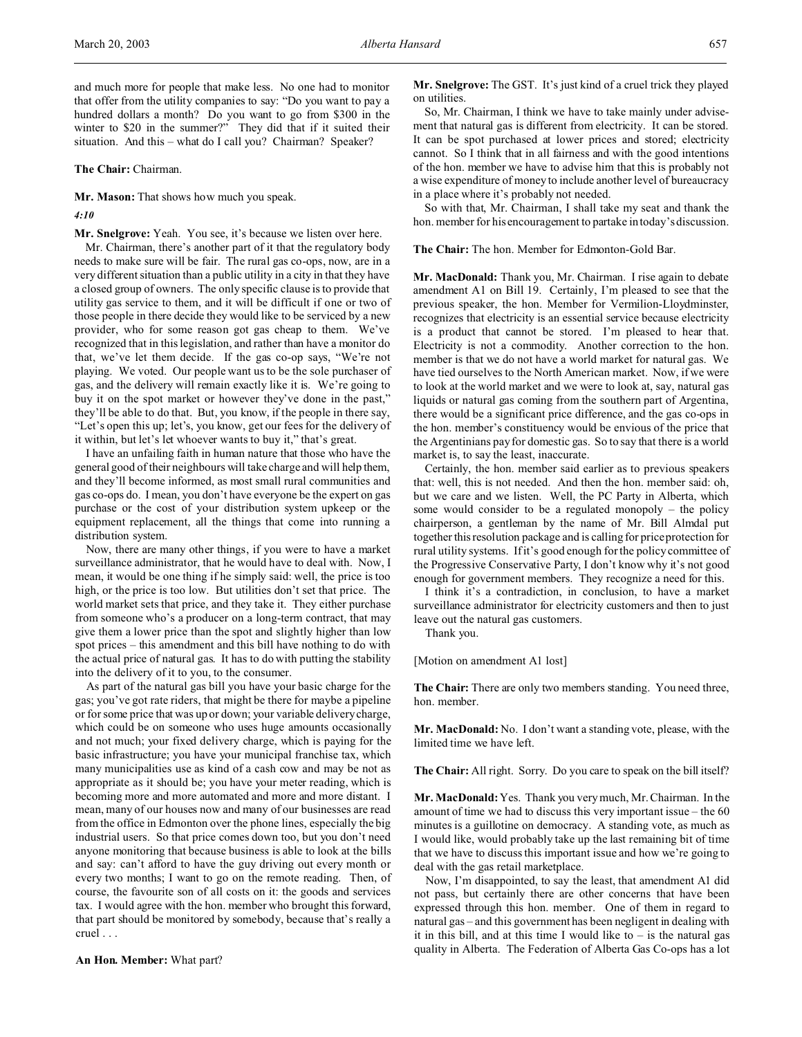and much more for people that make less. No one had to monitor that offer from the utility companies to say: "Do you want to pay a hundred dollars a month? Do you want to go from \$300 in the winter to \$20 in the summer?" They did that if it suited their situation. And this – what do I call you? Chairman? Speaker?

**The Chair:** Chairman.

**Mr. Mason:** That shows how much you speak.

*4:10*

**Mr. Snelgrove:** Yeah. You see, it's because we listen over here. Mr. Chairman, there's another part of it that the regulatory body needs to make sure will be fair. The rural gas co-ops, now, are in a very different situation than a public utility in a city in that they have a closed group of owners. The only specific clause is to provide that utility gas service to them, and it will be difficult if one or two of those people in there decide they would like to be serviced by a new provider, who for some reason got gas cheap to them. We've recognized that in this legislation, and rather than have a monitor do that, we've let them decide. If the gas co-op says, "We're not playing. We voted. Our people want us to be the sole purchaser of gas, and the delivery will remain exactly like it is. We're going to buy it on the spot market or however they've done in the past," they'll be able to do that. But, you know, if the people in there say, "Let's open this up; let's, you know, get our fees for the delivery of it within, but let's let whoever wants to buy it," that's great.

I have an unfailing faith in human nature that those who have the general good of their neighbours will take charge and will help them, and they'll become informed, as most small rural communities and gas co-ops do. I mean, you don't have everyone be the expert on gas purchase or the cost of your distribution system upkeep or the equipment replacement, all the things that come into running a distribution system.

Now, there are many other things, if you were to have a market surveillance administrator, that he would have to deal with. Now, I mean, it would be one thing if he simply said: well, the price is too high, or the price is too low. But utilities don't set that price. The world market sets that price, and they take it. They either purchase from someone who's a producer on a long-term contract, that may give them a lower price than the spot and slightly higher than low spot prices – this amendment and this bill have nothing to do with the actual price of natural gas. It has to do with putting the stability into the delivery of it to you, to the consumer.

As part of the natural gas bill you have your basic charge for the gas; you've got rate riders, that might be there for maybe a pipeline or for some price that was up or down; your variable delivery charge, which could be on someone who uses huge amounts occasionally and not much; your fixed delivery charge, which is paying for the basic infrastructure; you have your municipal franchise tax, which many municipalities use as kind of a cash cow and may be not as appropriate as it should be; you have your meter reading, which is becoming more and more automated and more and more distant. I mean, many of our houses now and many of our businesses are read from the office in Edmonton over the phone lines, especially the big industrial users. So that price comes down too, but you don't need anyone monitoring that because business is able to look at the bills and say: can't afford to have the guy driving out every month or every two months; I want to go on the remote reading. Then, of course, the favourite son of all costs on it: the goods and services tax. I would agree with the hon. member who brought this forward, that part should be monitored by somebody, because that's really a cruel . . .

## **An Hon. Member:** What part?

**Mr. Snelgrove:** The GST. It's just kind of a cruel trick they played on utilities.

So, Mr. Chairman, I think we have to take mainly under advisement that natural gas is different from electricity. It can be stored. It can be spot purchased at lower prices and stored; electricity cannot. So I think that in all fairness and with the good intentions of the hon. member we have to advise him that this is probably not a wise expenditure of money to include another level of bureaucracy in a place where it's probably not needed.

So with that, Mr. Chairman, I shall take my seat and thank the hon. member for his encouragement to partake in today's discussion.

**The Chair:** The hon. Member for Edmonton-Gold Bar.

**Mr. MacDonald:** Thank you, Mr. Chairman. I rise again to debate amendment A1 on Bill 19. Certainly, I'm pleased to see that the previous speaker, the hon. Member for Vermilion-Lloydminster, recognizes that electricity is an essential service because electricity is a product that cannot be stored. I'm pleased to hear that. Electricity is not a commodity. Another correction to the hon. member is that we do not have a world market for natural gas. We have tied ourselves to the North American market. Now, if we were to look at the world market and we were to look at, say, natural gas liquids or natural gas coming from the southern part of Argentina, there would be a significant price difference, and the gas co-ops in the hon. member's constituency would be envious of the price that the Argentinians pay for domestic gas. So to say that there is a world market is, to say the least, inaccurate.

Certainly, the hon. member said earlier as to previous speakers that: well, this is not needed. And then the hon. member said: oh, but we care and we listen. Well, the PC Party in Alberta, which some would consider to be a regulated monopoly – the policy chairperson, a gentleman by the name of Mr. Bill Almdal put together this resolution package and is calling for price protection for rural utility systems. If it's good enough for the policy committee of the Progressive Conservative Party, I don't know why it's not good enough for government members. They recognize a need for this.

I think it's a contradiction, in conclusion, to have a market surveillance administrator for electricity customers and then to just leave out the natural gas customers.

Thank you.

[Motion on amendment A1 lost]

**The Chair:** There are only two members standing. You need three, hon. member.

**Mr. MacDonald:** No. I don't want a standing vote, please, with the limited time we have left.

**The Chair:** All right. Sorry. Do you care to speak on the bill itself?

**Mr. MacDonald:** Yes. Thank you very much, Mr. Chairman. In the amount of time we had to discuss this very important issue – the 60 minutes is a guillotine on democracy. A standing vote, as much as I would like, would probably take up the last remaining bit of time that we have to discuss this important issue and how we're going to deal with the gas retail marketplace.

Now, I'm disappointed, to say the least, that amendment A1 did not pass, but certainly there are other concerns that have been expressed through this hon. member. One of them in regard to natural gas – and this government has been negligent in dealing with it in this bill, and at this time I would like to  $-$  is the natural gas quality in Alberta. The Federation of Alberta Gas Co-ops has a lot